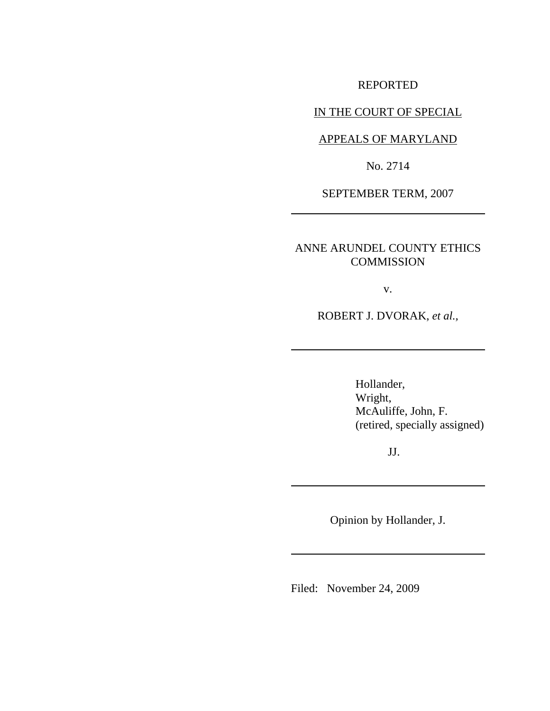REPORTED

IN THE COURT OF SPECIAL

APPEALS OF MARYLAND

No. 2714

SEPTEMBER TERM, 2007

ANNE ARUNDEL COUNTY ETHICS **COMMISSION** 

v.

ROBERT J. DVORAK, *et al.,*

Hollander, Wright, McAuliffe, John, F. (retired, specially assigned)

JJ.

Opinion by Hollander, J.

Filed: November 24, 2009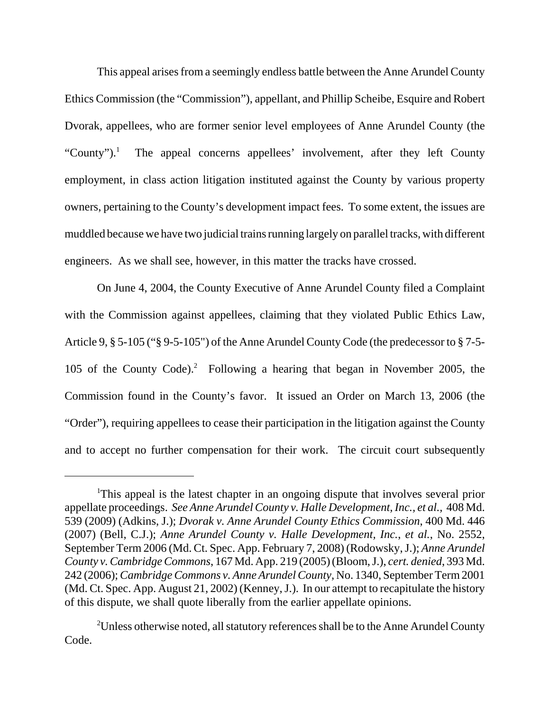This appeal arises from a seemingly endless battle between the Anne Arundel County Ethics Commission (the "Commission"), appellant, and Phillip Scheibe, Esquire and Robert Dvorak, appellees, who are former senior level employees of Anne Arundel County (the "County"). $<sup>1</sup>$ </sup> The appeal concerns appellees' involvement, after they left County employment, in class action litigation instituted against the County by various property owners, pertaining to the County's development impact fees. To some extent, the issues are muddled because we have two judicial trains running largely on parallel tracks, with different engineers. As we shall see, however, in this matter the tracks have crossed.

On June 4, 2004, the County Executive of Anne Arundel County filed a Complaint with the Commission against appellees, claiming that they violated Public Ethics Law, Article 9, § 5-105 ("§ 9-5-105") of the Anne Arundel County Code (the predecessor to § 7-5- 105 of the County Code).<sup>2</sup> Following a hearing that began in November 2005, the Commission found in the County's favor. It issued an Order on March 13, 2006 (the "Order"), requiring appellees to cease their participation in the litigation against the County and to accept no further compensation for their work. The circuit court subsequently

<sup>&</sup>lt;sup>1</sup>This appeal is the latest chapter in an ongoing dispute that involves several prior appellate proceedings. *See Anne Arundel County v. Halle Development, Inc., et al.,* 408 Md. 539 (2009) (Adkins, J.); *Dvorak v. Anne Arundel County Ethics Commission*, 400 Md. 446 (2007) (Bell, C.J.); *Anne Arundel County v. Halle Development, Inc.*, *et al.*, No. 2552, September Term 2006 (Md. Ct. Spec. App. February 7, 2008) (Rodowsky, J.); *Anne Arundel County v. Cambridge Commons*, 167 Md. App. 219 (2005) (Bloom, J.), *cert. denied*, 393 Md. 242 (2006); *Cambridge Commons v. Anne Arundel County*, No. 1340, September Term 2001 (Md. Ct. Spec. App. August 21, 2002) (Kenney, J.). In our attempt to recapitulate the history of this dispute, we shall quote liberally from the earlier appellate opinions.

 $2$ Unless otherwise noted, all statutory references shall be to the Anne Arundel County Code.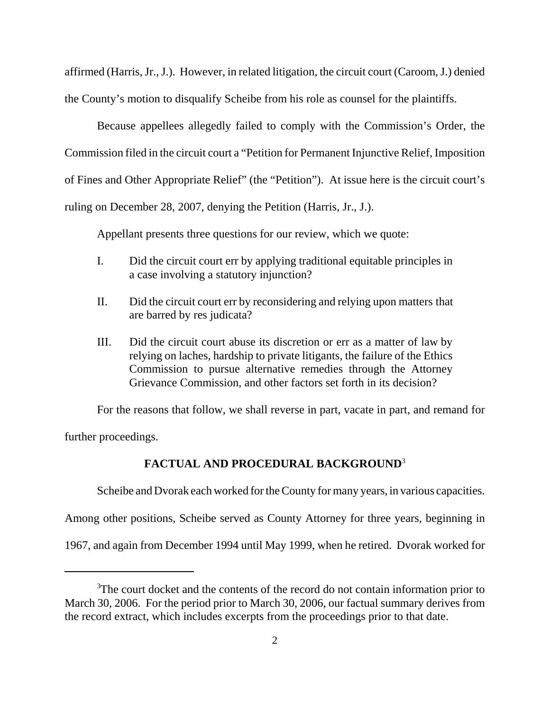affirmed (Harris, Jr., J.). However, in related litigation, the circuit court (Caroom, J.) denied the County's motion to disqualify Scheibe from his role as counsel for the plaintiffs.

Because appellees allegedly failed to comply with the Commission's Order, the Commission filed in the circuit court a "Petition for Permanent Injunctive Relief, Imposition of Fines and Other Appropriate Relief" (the "Petition"). At issue here is the circuit court's ruling on December 28, 2007, denying the Petition (Harris, Jr., J.).

Appellant presents three questions for our review, which we quote:

- I. Did the circuit court err by applying traditional equitable principles in a case involving a statutory injunction?
- II. Did the circuit court err by reconsidering and relying upon matters that are barred by res judicata?
- III. Did the circuit court abuse its discretion or err as a matter of law by relying on laches, hardship to private litigants, the failure of the Ethics Commission to pursue alternative remedies through the Attorney Grievance Commission, and other factors set forth in its decision?

For the reasons that follow, we shall reverse in part, vacate in part, and remand for

further proceedings.

# **FACTUAL AND PROCEDURAL BACKGROUND**<sup>3</sup>

Scheibe and Dvorak each worked for the County for many years, in various capacities.

Among other positions, Scheibe served as County Attorney for three years, beginning in

1967, and again from December 1994 until May 1999, when he retired. Dvorak worked for

<sup>&</sup>lt;sup>3</sup>The court docket and the contents of the record do not contain information prior to March 30, 2006. For the period prior to March 30, 2006, our factual summary derives from the record extract, which includes excerpts from the proceedings prior to that date.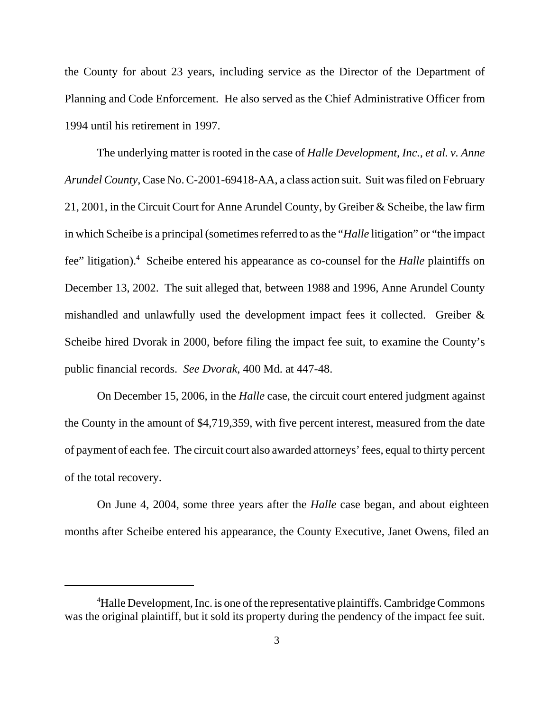the County for about 23 years, including service as the Director of the Department of Planning and Code Enforcement. He also served as the Chief Administrative Officer from 1994 until his retirement in 1997.

The underlying matter is rooted in the case of *Halle Development, Inc., et al. v. Anne Arundel County*, Case No. C-2001-69418-AA, a class action suit. Suit was filed on February 21, 2001, in the Circuit Court for Anne Arundel County, by Greiber & Scheibe, the law firm in which Scheibe is a principal(sometimes referred to as the "*Halle* litigation" or "the impact fee" litigation).<sup>4</sup> Scheibe entered his appearance as co-counsel for the *Halle* plaintiffs on December 13, 2002. The suit alleged that, between 1988 and 1996, Anne Arundel County mishandled and unlawfully used the development impact fees it collected. Greiber & Scheibe hired Dvorak in 2000, before filing the impact fee suit, to examine the County's public financial records. *See Dvorak*, 400 Md. at 447-48.

On December 15, 2006, in the *Halle* case, the circuit court entered judgment against the County in the amount of \$4,719,359, with five percent interest, measured from the date of payment of each fee. The circuit court also awarded attorneys' fees, equal to thirty percent of the total recovery.

On June 4, 2004, some three years after the *Halle* case began, and about eighteen months after Scheibe entered his appearance, the County Executive, Janet Owens, filed an

<sup>&</sup>lt;sup>4</sup>Halle Development, Inc. is one of the representative plaintiffs. Cambridge Commons was the original plaintiff, but it sold its property during the pendency of the impact fee suit.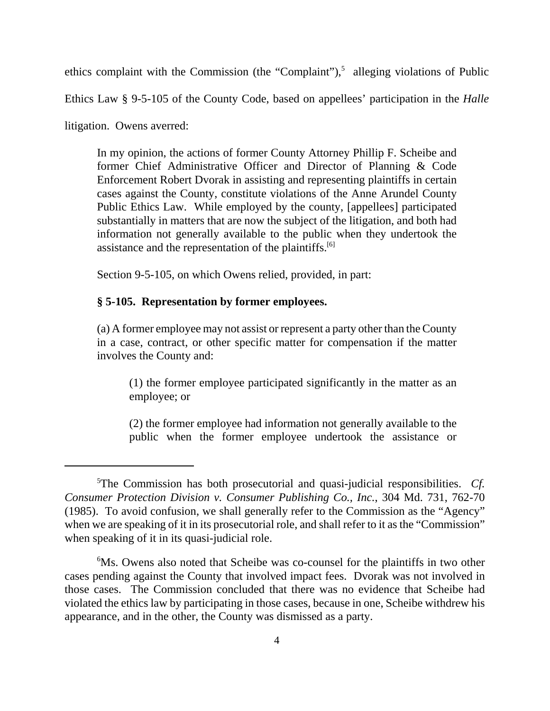ethics complaint with the Commission (the "Complaint"), $5$  alleging violations of Public

Ethics Law § 9-5-105 of the County Code, based on appellees' participation in the *Halle*

litigation. Owens averred:

In my opinion, the actions of former County Attorney Phillip F. Scheibe and former Chief Administrative Officer and Director of Planning & Code Enforcement Robert Dvorak in assisting and representing plaintiffs in certain cases against the County, constitute violations of the Anne Arundel County Public Ethics Law. While employed by the county, [appellees] participated substantially in matters that are now the subject of the litigation, and both had information not generally available to the public when they undertook the assistance and the representation of the plaintiffs.<sup>[6]</sup>

Section 9-5-105, on which Owens relied, provided, in part:

#### **§ 5-105. Representation by former employees.**

(a) A former employee may not assist or represent a party other than the County in a case, contract, or other specific matter for compensation if the matter involves the County and:

(1) the former employee participated significantly in the matter as an employee; or

(2) the former employee had information not generally available to the public when the former employee undertook the assistance or

<sup>5</sup> The Commission has both prosecutorial and quasi-judicial responsibilities. *Cf. Consumer Protection Division v. Consumer Publishing Co., Inc.*, 304 Md. 731, 762-70 (1985). To avoid confusion, we shall generally refer to the Commission as the "Agency" when we are speaking of it in its prosecutorial role, and shall refer to it as the "Commission" when speaking of it in its quasi-judicial role.

<sup>&</sup>lt;sup>6</sup>Ms. Owens also noted that Scheibe was co-counsel for the plaintiffs in two other cases pending against the County that involved impact fees. Dvorak was not involved in those cases. The Commission concluded that there was no evidence that Scheibe had violated the ethics law by participating in those cases, because in one, Scheibe withdrew his appearance, and in the other, the County was dismissed as a party.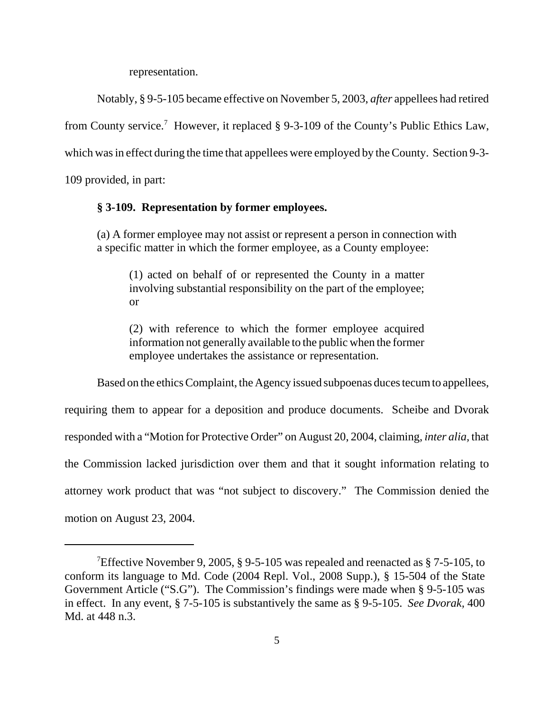representation.

Notably, § 9-5-105 became effective on November 5, 2003, *after* appellees had retired

from County service.<sup>7</sup> However, it replaced § 9-3-109 of the County's Public Ethics Law,

which was in effect during the time that appellees were employed by the County. Section 9-3-

109 provided, in part:

#### **§ 3-109. Representation by former employees.**

(a) A former employee may not assist or represent a person in connection with a specific matter in which the former employee, as a County employee:

(1) acted on behalf of or represented the County in a matter involving substantial responsibility on the part of the employee; or

(2) with reference to which the former employee acquired information not generally available to the public when the former employee undertakes the assistance or representation.

Based on the ethics Complaint, the Agency issued subpoenas duces tecum to appellees, requiring them to appear for a deposition and produce documents. Scheibe and Dvorak responded with a "Motion for Protective Order" on August 20, 2004, claiming, *inter alia,* that the Commission lacked jurisdiction over them and that it sought information relating to attorney work product that was "not subject to discovery." The Commission denied the motion on August 23, 2004.

<sup>&</sup>lt;sup>7</sup>Effective November 9, 2005, § 9-5-105 was repealed and reenacted as § 7-5-105, to conform its language to Md. Code (2004 Repl. Vol., 2008 Supp.), § 15-504 of the State Government Article ("S.G"). The Commission's findings were made when § 9-5-105 was in effect. In any event, § 7-5-105 is substantively the same as § 9-5-105. *See Dvorak,* 400 Md. at 448 n.3.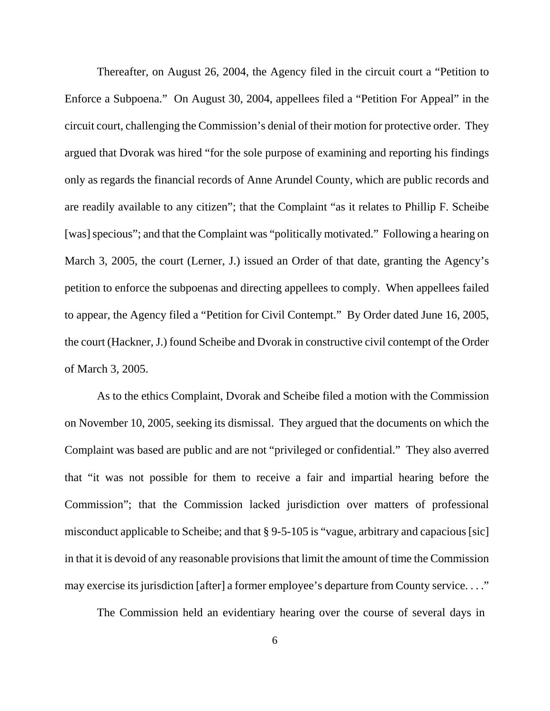Thereafter, on August 26, 2004, the Agency filed in the circuit court a "Petition to Enforce a Subpoena." On August 30, 2004, appellees filed a "Petition For Appeal" in the circuit court, challenging the Commission's denial of their motion for protective order. They argued that Dvorak was hired "for the sole purpose of examining and reporting his findings only as regards the financial records of Anne Arundel County, which are public records and are readily available to any citizen"; that the Complaint "as it relates to Phillip F. Scheibe [was] specious"; and that the Complaint was "politically motivated." Following a hearing on March 3, 2005, the court (Lerner, J.) issued an Order of that date, granting the Agency's petition to enforce the subpoenas and directing appellees to comply. When appellees failed to appear, the Agency filed a "Petition for Civil Contempt." By Order dated June 16, 2005, the court (Hackner, J.) found Scheibe and Dvorak in constructive civil contempt of the Order of March 3, 2005.

As to the ethics Complaint, Dvorak and Scheibe filed a motion with the Commission on November 10, 2005, seeking its dismissal. They argued that the documents on which the Complaint was based are public and are not "privileged or confidential." They also averred that "it was not possible for them to receive a fair and impartial hearing before the Commission"; that the Commission lacked jurisdiction over matters of professional misconduct applicable to Scheibe; and that § 9-5-105 is "vague, arbitrary and capacious [sic] in that it is devoid of any reasonable provisions that limit the amount of time the Commission may exercise its jurisdiction [after] a former employee's departure from County service...."

The Commission held an evidentiary hearing over the course of several days in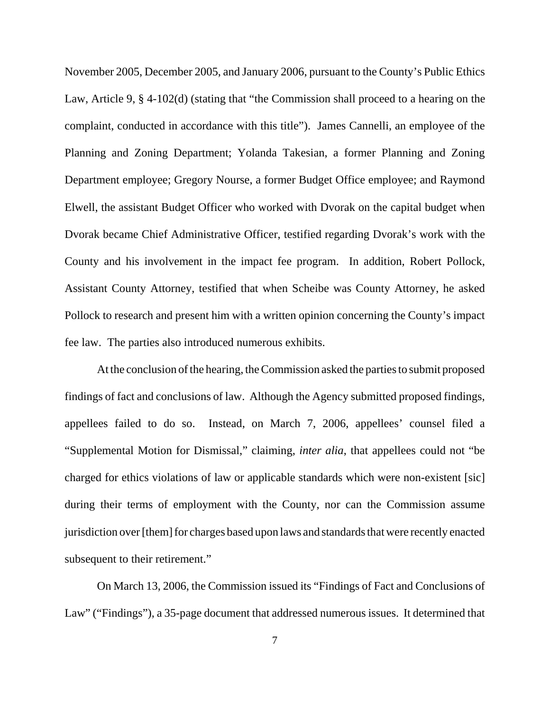November 2005, December 2005, and January 2006, pursuant to the County's Public Ethics Law, Article 9, § 4-102(d) (stating that "the Commission shall proceed to a hearing on the complaint, conducted in accordance with this title"). James Cannelli, an employee of the Planning and Zoning Department; Yolanda Takesian, a former Planning and Zoning Department employee; Gregory Nourse, a former Budget Office employee; and Raymond Elwell, the assistant Budget Officer who worked with Dvorak on the capital budget when Dvorak became Chief Administrative Officer, testified regarding Dvorak's work with the County and his involvement in the impact fee program. In addition, Robert Pollock, Assistant County Attorney, testified that when Scheibe was County Attorney, he asked Pollock to research and present him with a written opinion concerning the County's impact fee law. The parties also introduced numerous exhibits.

At the conclusion of the hearing, the Commission asked the parties to submit proposed findings of fact and conclusions of law. Although the Agency submitted proposed findings, appellees failed to do so. Instead, on March 7, 2006, appellees' counsel filed a "Supplemental Motion for Dismissal," claiming, *inter alia*, that appellees could not "be charged for ethics violations of law or applicable standards which were non-existent [sic] during their terms of employment with the County, nor can the Commission assume jurisdiction over [them] for charges based upon laws and standards that were recently enacted subsequent to their retirement."

On March 13, 2006, the Commission issued its "Findings of Fact and Conclusions of Law" ("Findings"), a 35-page document that addressed numerous issues. It determined that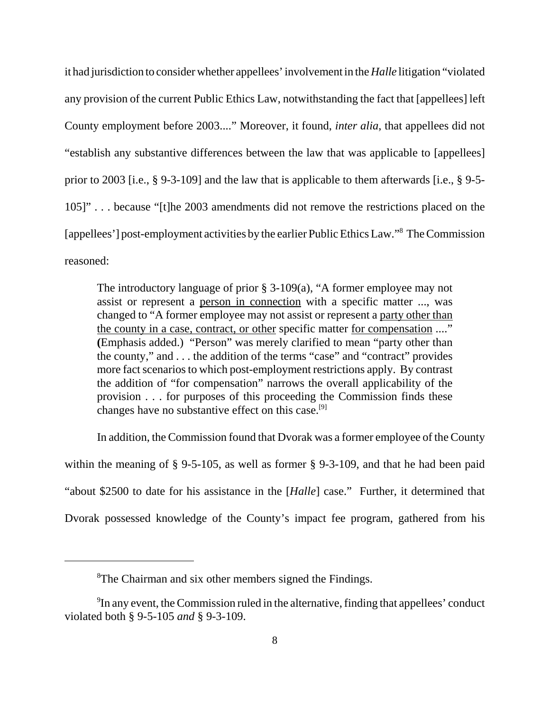it had jurisdiction to consider whether appellees' involvement in the *Halle* litigation "violated any provision of the current Public Ethics Law, notwithstanding the fact that [appellees] left County employment before 2003...." Moreover, it found, *inter alia*, that appellees did not "establish any substantive differences between the law that was applicable to [appellees] prior to 2003 [i.e., § 9-3-109] and the law that is applicable to them afterwards [i.e., § 9-5- 105]" . . . because "[t]he 2003 amendments did not remove the restrictions placed on the [appellees'] post-employment activities by the earlier Public Ethics Law."8 The Commission reasoned:

The introductory language of prior § 3-109(a), "A former employee may not assist or represent a person in connection with a specific matter ..., was changed to "A former employee may not assist or represent a party other than the county in a case, contract, or other specific matter for compensation ...." **(**Emphasis added.) "Person" was merely clarified to mean "party other than the county," and . . . the addition of the terms "case" and "contract" provides more fact scenarios to which post-employment restrictions apply. By contrast the addition of "for compensation" narrows the overall applicability of the provision . . . for purposes of this proceeding the Commission finds these changes have no substantive effect on this case.<sup>[9]</sup>

In addition, the Commission found that Dvorak was a former employee of the County within the meaning of § 9-5-105, as well as former § 9-3-109, and that he had been paid "about \$2500 to date for his assistance in the [*Halle*] case." Further, it determined that Dvorak possessed knowledge of the County's impact fee program, gathered from his

<sup>&</sup>lt;sup>8</sup>The Chairman and six other members signed the Findings.

 $9$ In any event, the Commission ruled in the alternative, finding that appellees' conduct violated both § 9-5-105 *and* § 9-3-109.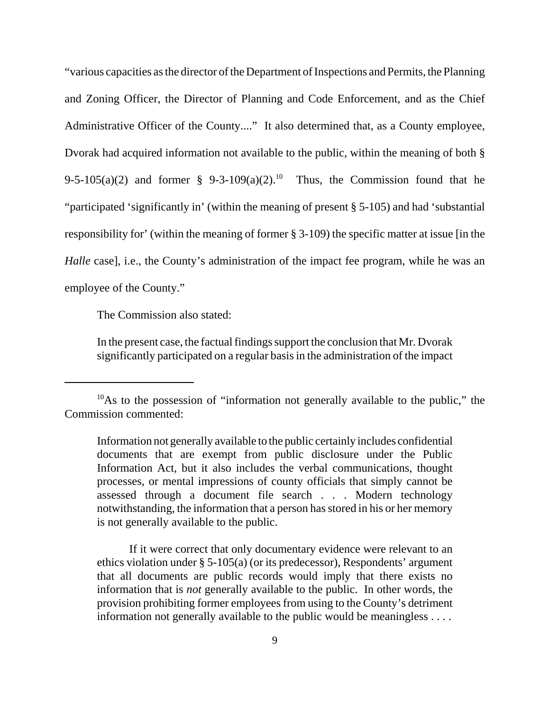"various capacities as the director of the Department of Inspections and Permits, the Planning and Zoning Officer, the Director of Planning and Code Enforcement, and as the Chief Administrative Officer of the County...." It also determined that, as a County employee, Dvorak had acquired information not available to the public, within the meaning of both § 9-5-105(a)(2) and former § 9-3-109(a)(2).<sup>10</sup> Thus, the Commission found that he "participated 'significantly in' (within the meaning of present § 5-105) and had 'substantial responsibility for' (within the meaning of former § 3-109) the specific matter at issue [in the *Halle* case], i.e., the County's administration of the impact fee program, while he was an employee of the County."

The Commission also stated:

In the present case, the factual findings support the conclusion that Mr. Dvorak significantly participated on a regular basis in the administration of the impact

If it were correct that only documentary evidence were relevant to an ethics violation under § 5-105(a) (or its predecessor), Respondents' argument that all documents are public records would imply that there exists no information that is *not* generally available to the public. In other words, the provision prohibiting former employees from using to the County's detriment information not generally available to the public would be meaningless . . . .

 $10$ As to the possession of "information not generally available to the public," the Commission commented:

Information not generally available to the public certainly includes confidential documents that are exempt from public disclosure under the Public Information Act, but it also includes the verbal communications, thought processes, or mental impressions of county officials that simply cannot be assessed through a document file search . . . Modern technology notwithstanding, the information that a person has stored in his or her memory is not generally available to the public.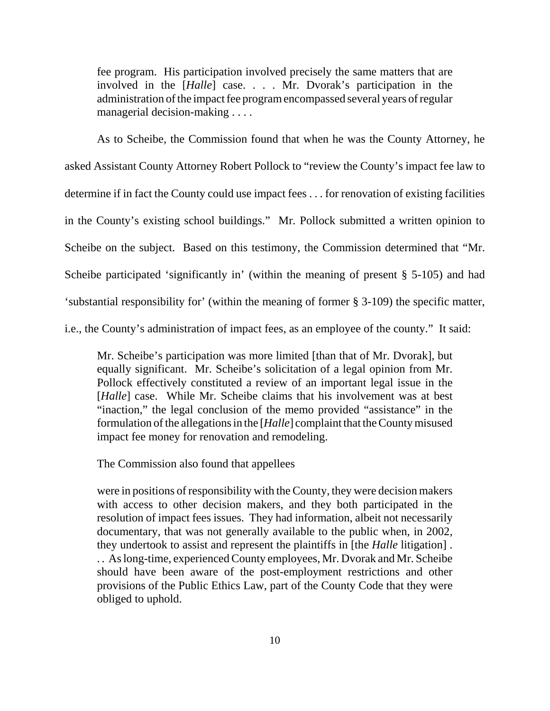fee program. His participation involved precisely the same matters that are involved in the [*Halle*] case. . . . Mr. Dvorak's participation in the administration of the impact fee program encompassed several years of regular managerial decision-making . . . .

As to Scheibe, the Commission found that when he was the County Attorney, he asked Assistant County Attorney Robert Pollock to "review the County's impact fee law to determine if in fact the County could use impact fees . . . for renovation of existing facilities in the County's existing school buildings." Mr. Pollock submitted a written opinion to Scheibe on the subject. Based on this testimony, the Commission determined that "Mr. Scheibe participated 'significantly in' (within the meaning of present § 5-105) and had 'substantial responsibility for' (within the meaning of former § 3-109) the specific matter, i.e., the County's administration of impact fees, as an employee of the county." It said:

Mr. Scheibe's participation was more limited [than that of Mr. Dvorak], but equally significant. Mr. Scheibe's solicitation of a legal opinion from Mr. Pollock effectively constituted a review of an important legal issue in the [*Halle*] case. While Mr. Scheibe claims that his involvement was at best "inaction," the legal conclusion of the memo provided "assistance" in the formulation of the allegations in the [*Halle*] complaint that the County misused impact fee money for renovation and remodeling.

The Commission also found that appellees

were in positions of responsibility with the County, they were decision makers with access to other decision makers, and they both participated in the resolution of impact fees issues. They had information, albeit not necessarily documentary, that was not generally available to the public when, in 2002, they undertook to assist and represent the plaintiffs in [the *Halle* litigation] . . . As long-time, experienced County employees, Mr. Dvorak and Mr. Scheibe should have been aware of the post-employment restrictions and other provisions of the Public Ethics Law, part of the County Code that they were obliged to uphold.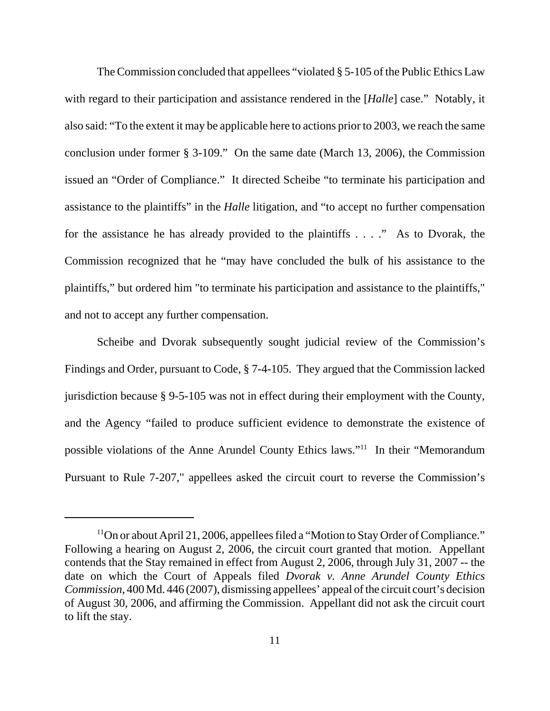The Commission concluded that appellees "violated § 5-105 of the Public Ethics Law with regard to their participation and assistance rendered in the [*Halle*] case." Notably, it also said: "To the extent it may be applicable here to actions prior to 2003, we reach the same conclusion under former § 3-109." On the same date (March 13, 2006), the Commission issued an "Order of Compliance." It directed Scheibe "to terminate his participation and assistance to the plaintiffs" in the *Halle* litigation, and "to accept no further compensation for the assistance he has already provided to the plaintiffs . . . ." As to Dvorak, the Commission recognized that he "may have concluded the bulk of his assistance to the plaintiffs," but ordered him "to terminate his participation and assistance to the plaintiffs," and not to accept any further compensation.

Scheibe and Dvorak subsequently sought judicial review of the Commission's Findings and Order, pursuant to Code, § 7-4-105. They argued that the Commission lacked jurisdiction because § 9-5-105 was not in effect during their employment with the County, and the Agency "failed to produce sufficient evidence to demonstrate the existence of possible violations of the Anne Arundel County Ethics laws."11 In their "Memorandum Pursuant to Rule 7-207," appellees asked the circuit court to reverse the Commission's

<sup>&</sup>lt;sup>11</sup>On or about April 21, 2006, appellees filed a "Motion to Stay Order of Compliance." Following a hearing on August 2, 2006, the circuit court granted that motion. Appellant contends that the Stay remained in effect from August 2, 2006, through July 31, 2007 -- the date on which the Court of Appeals filed *Dvorak v. Anne Arundel County Ethics Commission*, 400 Md. 446 (2007), dismissing appellees' appeal of the circuit court's decision of August 30, 2006, and affirming the Commission. Appellant did not ask the circuit court to lift the stay.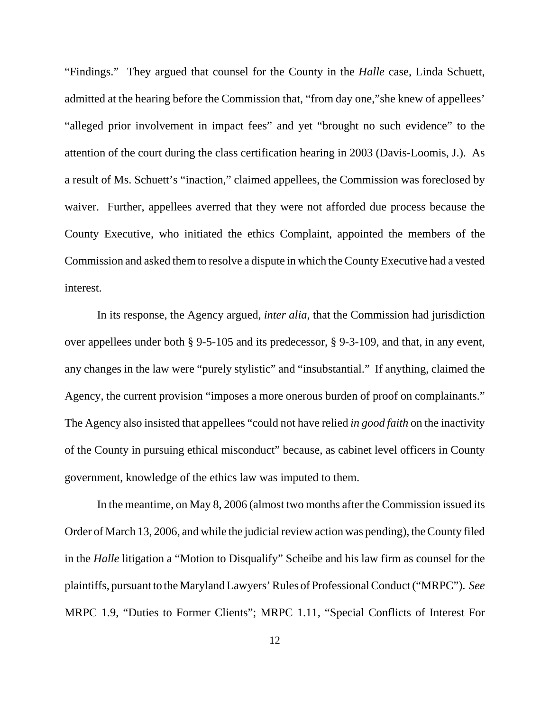"Findings." They argued that counsel for the County in the *Halle* case, Linda Schuett, admitted at the hearing before the Commission that, "from day one,"she knew of appellees' "alleged prior involvement in impact fees" and yet "brought no such evidence" to the attention of the court during the class certification hearing in 2003 (Davis-Loomis, J.). As a result of Ms. Schuett's "inaction," claimed appellees, the Commission was foreclosed by waiver. Further, appellees averred that they were not afforded due process because the County Executive, who initiated the ethics Complaint, appointed the members of the Commission and asked them to resolve a dispute in which the County Executive had a vested interest.

In its response, the Agency argued, *inter alia*, that the Commission had jurisdiction over appellees under both § 9-5-105 and its predecessor, § 9-3-109, and that, in any event, any changes in the law were "purely stylistic" and "insubstantial." If anything, claimed the Agency, the current provision "imposes a more onerous burden of proof on complainants." The Agency also insisted that appellees "could not have relied *in good faith* on the inactivity of the County in pursuing ethical misconduct" because, as cabinet level officers in County government, knowledge of the ethics law was imputed to them.

In the meantime, on May 8, 2006 (almost two months after the Commission issued its Order of March 13, 2006, and while the judicial review action was pending), the County filed in the *Halle* litigation a "Motion to Disqualify" Scheibe and his law firm as counsel for the plaintiffs, pursuant to the Maryland Lawyers' Rules of Professional Conduct ("MRPC"). *See* MRPC 1.9, "Duties to Former Clients"; MRPC 1.11, "Special Conflicts of Interest For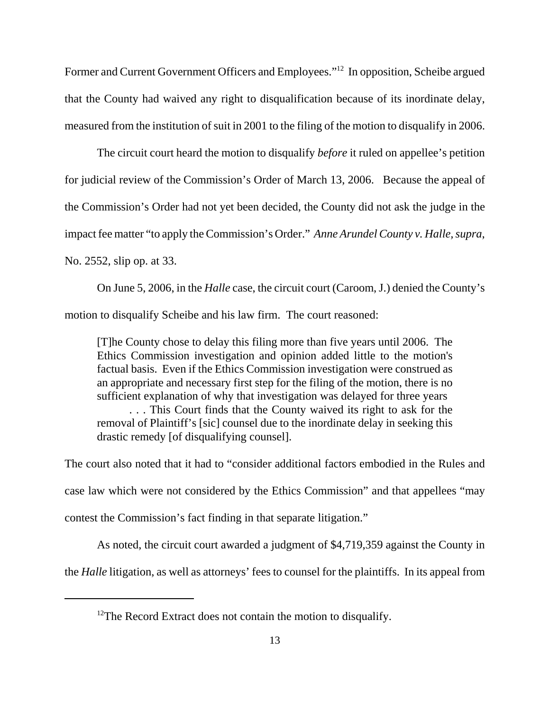Former and Current Government Officers and Employees."12 In opposition, Scheibe argued that the County had waived any right to disqualification because of its inordinate delay, measured from the institution of suit in 2001 to the filing of the motion to disqualify in 2006.

The circuit court heard the motion to disqualify *before* it ruled on appellee's petition for judicial review of the Commission's Order of March 13, 2006. Because the appeal of the Commission's Order had not yet been decided, the County did not ask the judge in the impact fee matter "to apply the Commission's Order." *Anne Arundel County v. Halle, supra*, No. 2552, slip op. at 33.

On June 5, 2006, in the *Halle* case, the circuit court (Caroom, J.) denied the County's motion to disqualify Scheibe and his law firm. The court reasoned:

[T]he County chose to delay this filing more than five years until 2006. The Ethics Commission investigation and opinion added little to the motion's factual basis. Even if the Ethics Commission investigation were construed as an appropriate and necessary first step for the filing of the motion, there is no sufficient explanation of why that investigation was delayed for three years

. . . This Court finds that the County waived its right to ask for the removal of Plaintiff's [sic] counsel due to the inordinate delay in seeking this drastic remedy [of disqualifying counsel].

The court also noted that it had to "consider additional factors embodied in the Rules and case law which were not considered by the Ethics Commission" and that appellees "may contest the Commission's fact finding in that separate litigation."

As noted, the circuit court awarded a judgment of \$4,719,359 against the County in

the *Halle* litigation, as well as attorneys' fees to counsel for the plaintiffs. In its appeal from

 $12$ The Record Extract does not contain the motion to disqualify.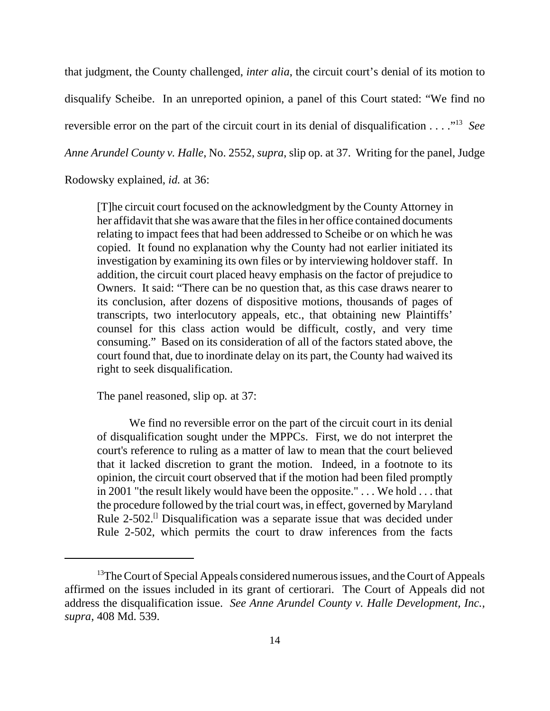that judgment, the County challenged, *inter alia*, the circuit court's denial of its motion to disqualify Scheibe. In an unreported opinion, a panel of this Court stated: "We find no reversible error on the part of the circuit court in its denial of disqualification . . . ."13 *See Anne Arundel County v. Halle*, No. 2552, *supra*, slip op. at 37. Writing for the panel, Judge

Rodowsky explained, *id.* at 36:

 [T]he circuit court focused on the acknowledgment by the County Attorney in her affidavit that she was aware that the files in her office contained documents relating to impact fees that had been addressed to Scheibe or on which he was copied. It found no explanation why the County had not earlier initiated its investigation by examining its own files or by interviewing holdover staff. In addition, the circuit court placed heavy emphasis on the factor of prejudice to Owners. It said: "There can be no question that, as this case draws nearer to its conclusion, after dozens of dispositive motions, thousands of pages of transcripts, two interlocutory appeals, etc., that obtaining new Plaintiffs' counsel for this class action would be difficult, costly, and very time consuming." Based on its consideration of all of the factors stated above, the court found that, due to inordinate delay on its part, the County had waived its right to seek disqualification.

The panel reasoned, slip op*.* at 37:

We find no reversible error on the part of the circuit court in its denial of disqualification sought under the MPPCs. First, we do not interpret the court's reference to ruling as a matter of law to mean that the court believed that it lacked discretion to grant the motion. Indeed, in a footnote to its opinion, the circuit court observed that if the motion had been filed promptly in 2001 "the result likely would have been the opposite." . . . We hold . . . that the procedure followed by the trial court was, in effect, governed by Maryland Rule  $2-502$ .<sup>[]</sup> Disqualification was a separate issue that was decided under Rule 2-502, which permits the court to draw inferences from the facts

<sup>&</sup>lt;sup>13</sup>The Court of Special Appeals considered numerous issues, and the Court of Appeals affirmed on the issues included in its grant of certiorari. The Court of Appeals did not address the disqualification issue. *See Anne Arundel County v. Halle Development, Inc., supra*, 408 Md. 539.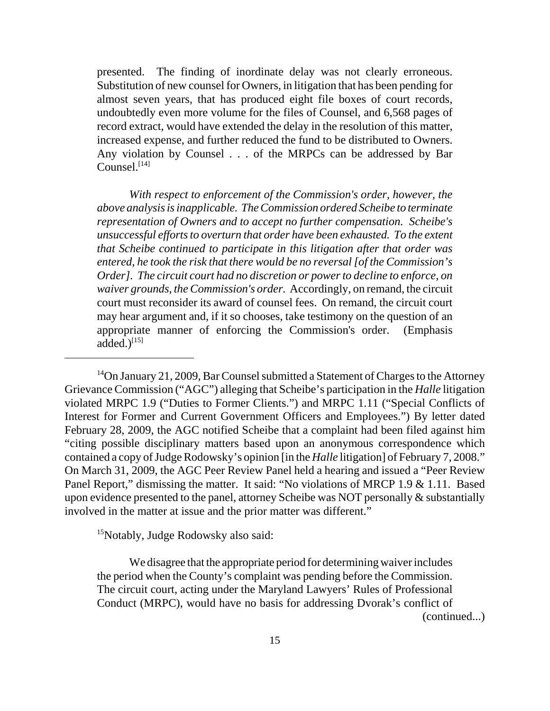presented. The finding of inordinate delay was not clearly erroneous. Substitution of new counsel for Owners, in litigation that has been pending for almost seven years, that has produced eight file boxes of court records, undoubtedly even more volume for the files of Counsel, and 6,568 pages of record extract, would have extended the delay in the resolution of this matter, increased expense, and further reduced the fund to be distributed to Owners. Any violation by Counsel . . . of the MRPCs can be addressed by Bar  $Comsel.$ <sup>[14]</sup>

 *With respect to enforcement of the Commission's order, however, the above analysis is inapplicable. The Commission ordered Scheibe to terminate representation of Owners and to accept no further compensation. Scheibe's unsuccessful efforts to overturn that order have been exhausted. To the extent that Scheibe continued to participate in this litigation after that order was entered, he took the risk that there would be no reversal [of the Commission's Order]. The circuit court had no discretion or power to decline to enforce, on waiver grounds, the Commission's order.* Accordingly, on remand, the circuit court must reconsider its award of counsel fees. On remand, the circuit court may hear argument and, if it so chooses, take testimony on the question of an appropriate manner of enforcing the Commission's order. (Emphasis added. $)$ <sup>[15]</sup>

<sup>14</sup>On January 21, 2009, Bar Counsel submitted a Statement of Charges to the Attorney Grievance Commission ("AGC") alleging that Scheibe's participation in the *Halle* litigation violated MRPC 1.9 ("Duties to Former Clients.") and MRPC 1.11 ("Special Conflicts of Interest for Former and Current Government Officers and Employees.") By letter dated February 28, 2009, the AGC notified Scheibe that a complaint had been filed against him "citing possible disciplinary matters based upon an anonymous correspondence which contained a copy of Judge Rodowsky's opinion [in the *Halle* litigation] of February 7, 2008." On March 31, 2009, the AGC Peer Review Panel held a hearing and issued a "Peer Review Panel Report," dismissing the matter. It said: "No violations of MRCP 1.9 & 1.11. Based upon evidence presented to the panel, attorney Scheibe was NOT personally & substantially involved in the matter at issue and the prior matter was different."

<sup>15</sup>Notably, Judge Rodowsky also said:

We disagree that the appropriate period for determining waiver includes the period when the County's complaint was pending before the Commission. The circuit court, acting under the Maryland Lawyers' Rules of Professional Conduct (MRPC), would have no basis for addressing Dvorak's conflict of

(continued...)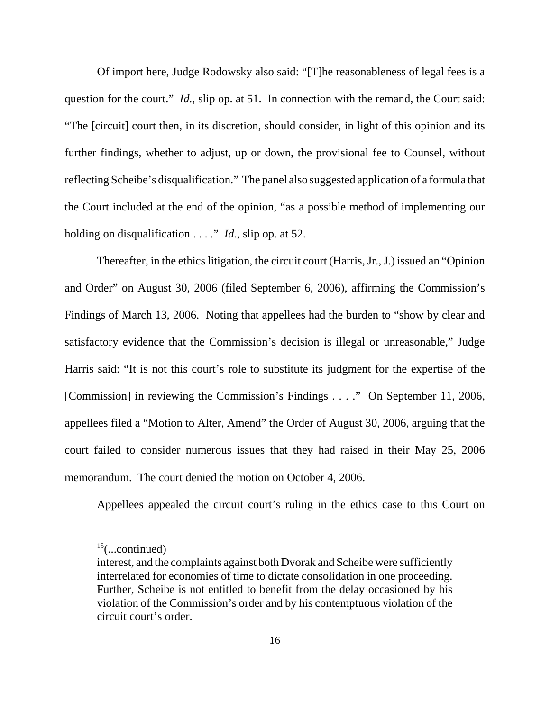Of import here, Judge Rodowsky also said: "[T]he reasonableness of legal fees is a question for the court." *Id.*, slip op. at 51. In connection with the remand, the Court said: "The [circuit] court then, in its discretion, should consider, in light of this opinion and its further findings, whether to adjust, up or down, the provisional fee to Counsel, without reflecting Scheibe's disqualification." The panel also suggested application of a formula that the Court included at the end of the opinion, "as a possible method of implementing our holding on disqualification . . . ." *Id.*, slip op. at 52.

Thereafter, in the ethics litigation, the circuit court (Harris, Jr., J.) issued an "Opinion and Order" on August 30, 2006 (filed September 6, 2006), affirming the Commission's Findings of March 13, 2006. Noting that appellees had the burden to "show by clear and satisfactory evidence that the Commission's decision is illegal or unreasonable," Judge Harris said: "It is not this court's role to substitute its judgment for the expertise of the [Commission] in reviewing the Commission's Findings . . . ." On September 11, 2006, appellees filed a "Motion to Alter, Amend" the Order of August 30, 2006, arguing that the court failed to consider numerous issues that they had raised in their May 25, 2006 memorandum. The court denied the motion on October 4, 2006.

Appellees appealed the circuit court's ruling in the ethics case to this Court on

 $15$ (...continued)

interest, and the complaints against both Dvorak and Scheibe were sufficiently interrelated for economies of time to dictate consolidation in one proceeding. Further, Scheibe is not entitled to benefit from the delay occasioned by his violation of the Commission's order and by his contemptuous violation of the circuit court's order.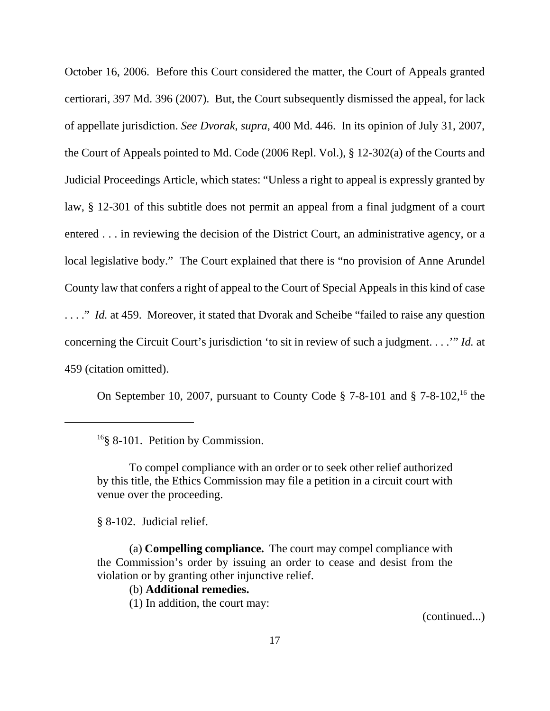October 16, 2006. Before this Court considered the matter, the Court of Appeals granted certiorari, 397 Md. 396 (2007). But, the Court subsequently dismissed the appeal, for lack of appellate jurisdiction. *See Dvorak*, *supra*, 400 Md. 446. In its opinion of July 31, 2007, the Court of Appeals pointed to Md. Code (2006 Repl. Vol.), § 12-302(a) of the Courts and Judicial Proceedings Article, which states: "Unless a right to appeal is expressly granted by law, § 12-301 of this subtitle does not permit an appeal from a final judgment of a court entered . . . in reviewing the decision of the District Court, an administrative agency, or a local legislative body." The Court explained that there is "no provision of Anne Arundel County law that confers a right of appeal to the Court of Special Appeals in this kind of case ...." *Id.* at 459. Moreover, it stated that Dvorak and Scheibe "failed to raise any question"... concerning the Circuit Court's jurisdiction 'to sit in review of such a judgment. . . .'" *Id.* at 459 (citation omitted).

On September 10, 2007, pursuant to County Code  $\S$  7-8-101 and  $\S$  7-8-102,<sup>16</sup> the

§ 8-102. Judicial relief.

(a) **Compelling compliance.** The court may compel compliance with the Commission's order by issuing an order to cease and desist from the violation or by granting other injunctive relief.

## (b) **Additional remedies.**

(1) In addition, the court may:

(continued...)

<sup>&</sup>lt;sup>16</sup>§ 8-101. Petition by Commission.

To compel compliance with an order or to seek other relief authorized by this title, the Ethics Commission may file a petition in a circuit court with venue over the proceeding.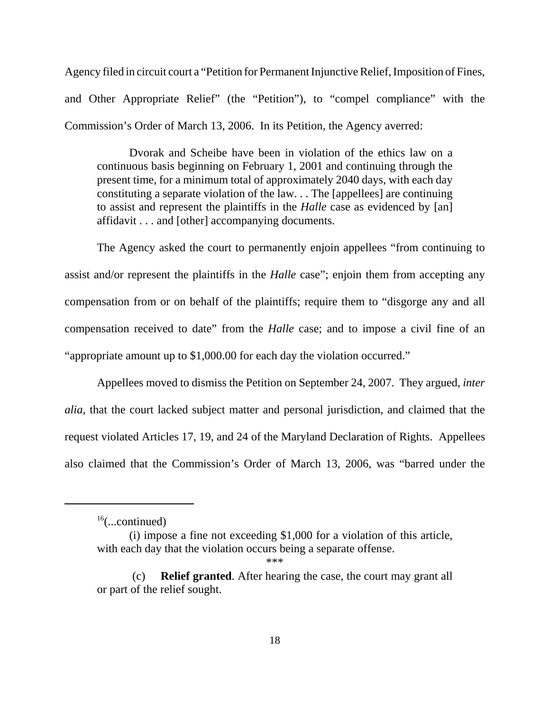Agency filed in circuit court a "Petition for Permanent Injunctive Relief, Imposition of Fines, and Other Appropriate Relief" (the "Petition"), to "compel compliance" with the Commission's Order of March 13, 2006. In its Petition, the Agency averred:

Dvorak and Scheibe have been in violation of the ethics law on a continuous basis beginning on February 1, 2001 and continuing through the present time, for a minimum total of approximately 2040 days, with each day constituting a separate violation of the law. . . The [appellees] are continuing to assist and represent the plaintiffs in the *Halle* case as evidenced by [an] affidavit . . . and [other] accompanying documents.

The Agency asked the court to permanently enjoin appellees "from continuing to assist and/or represent the plaintiffs in the *Halle* case"; enjoin them from accepting any compensation from or on behalf of the plaintiffs; require them to "disgorge any and all compensation received to date" from the *Halle* case; and to impose a civil fine of an "appropriate amount up to \$1,000.00 for each day the violation occurred."

Appellees moved to dismiss the Petition on September 24, 2007. They argued, *inter alia,* that the court lacked subject matter and personal jurisdiction, and claimed that the request violated Articles 17, 19, and 24 of the Maryland Declaration of Rights. Appellees also claimed that the Commission's Order of March 13, 2006, was "barred under the

 $16$ (...continued)

<sup>(</sup>i) impose a fine not exceeding \$1,000 for a violation of this article, with each day that the violation occurs being a separate offense.

<sup>\*\*\*</sup>

 <sup>(</sup>c) **Relief granted**. After hearing the case, the court may grant all or part of the relief sought.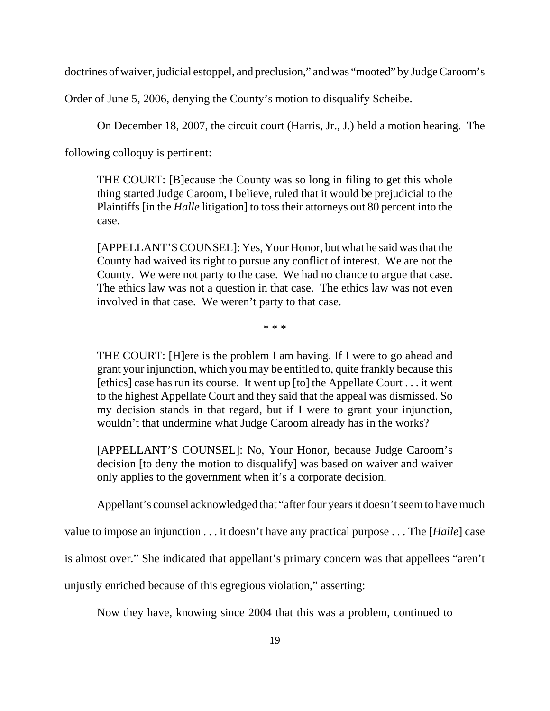doctrines of waiver, judicial estoppel, and preclusion," and was "mooted" by Judge Caroom's

Order of June 5, 2006, denying the County's motion to disqualify Scheibe.

On December 18, 2007, the circuit court (Harris, Jr., J.) held a motion hearing. The

following colloquy is pertinent:

THE COURT: [B]ecause the County was so long in filing to get this whole thing started Judge Caroom, I believe, ruled that it would be prejudicial to the Plaintiffs [in the *Halle* litigation] to toss their attorneys out 80 percent into the case.

[APPELLANT'S COUNSEL]: Yes, Your Honor, but what he said was that the County had waived its right to pursue any conflict of interest. We are not the County. We were not party to the case. We had no chance to argue that case. The ethics law was not a question in that case. The ethics law was not even involved in that case. We weren't party to that case.

\* \* \*

THE COURT: [H]ere is the problem I am having. If I were to go ahead and grant your injunction, which you may be entitled to, quite frankly because this [ethics] case has run its course. It went up [to] the Appellate Court . . . it went to the highest Appellate Court and they said that the appeal was dismissed. So my decision stands in that regard, but if I were to grant your injunction, wouldn't that undermine what Judge Caroom already has in the works?

[APPELLANT'S COUNSEL]: No, Your Honor, because Judge Caroom's decision [to deny the motion to disqualify] was based on waiver and waiver only applies to the government when it's a corporate decision.

Appellant's counsel acknowledged that "after four years it doesn't seem to have much

value to impose an injunction . . . it doesn't have any practical purpose . . . The [*Halle*] case

is almost over." She indicated that appellant's primary concern was that appellees "aren't

unjustly enriched because of this egregious violation," asserting:

Now they have, knowing since 2004 that this was a problem, continued to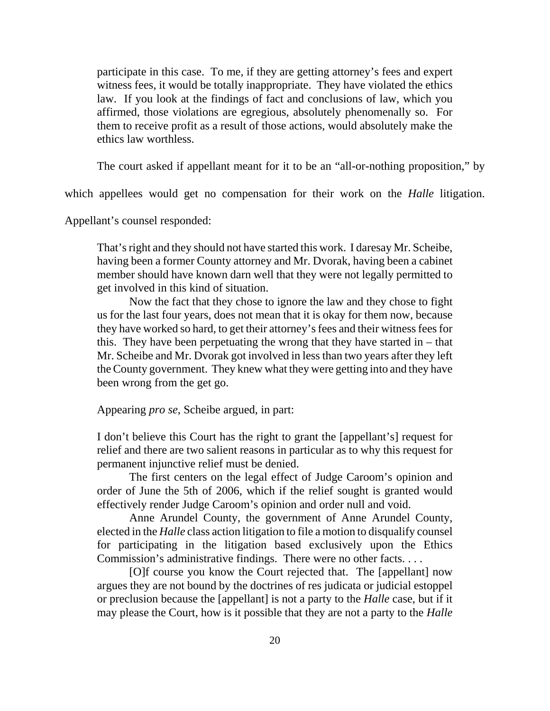participate in this case. To me, if they are getting attorney's fees and expert witness fees, it would be totally inappropriate. They have violated the ethics law. If you look at the findings of fact and conclusions of law, which you affirmed, those violations are egregious, absolutely phenomenally so. For them to receive profit as a result of those actions, would absolutely make the ethics law worthless.

The court asked if appellant meant for it to be an "all-or-nothing proposition," by

which appellees would get no compensation for their work on the *Halle* litigation.

Appellant's counsel responded:

That's right and they should not have started this work. I daresay Mr. Scheibe, having been a former County attorney and Mr. Dvorak, having been a cabinet member should have known darn well that they were not legally permitted to get involved in this kind of situation.

Now the fact that they chose to ignore the law and they chose to fight us for the last four years, does not mean that it is okay for them now, because they have worked so hard, to get their attorney's fees and their witness fees for this. They have been perpetuating the wrong that they have started in – that Mr. Scheibe and Mr. Dvorak got involved in less than two years after they left the County government. They knew what they were getting into and they have been wrong from the get go.

Appearing *pro se*, Scheibe argued, in part:

I don't believe this Court has the right to grant the [appellant's] request for relief and there are two salient reasons in particular as to why this request for permanent injunctive relief must be denied.

The first centers on the legal effect of Judge Caroom's opinion and order of June the 5th of 2006, which if the relief sought is granted would effectively render Judge Caroom's opinion and order null and void.

Anne Arundel County, the government of Anne Arundel County, elected in the *Halle* class action litigation to file a motion to disqualify counsel for participating in the litigation based exclusively upon the Ethics Commission's administrative findings. There were no other facts. . . .

[O]f course you know the Court rejected that. The [appellant] now argues they are not bound by the doctrines of res judicata or judicial estoppel or preclusion because the [appellant] is not a party to the *Halle* case, but if it may please the Court, how is it possible that they are not a party to the *Halle*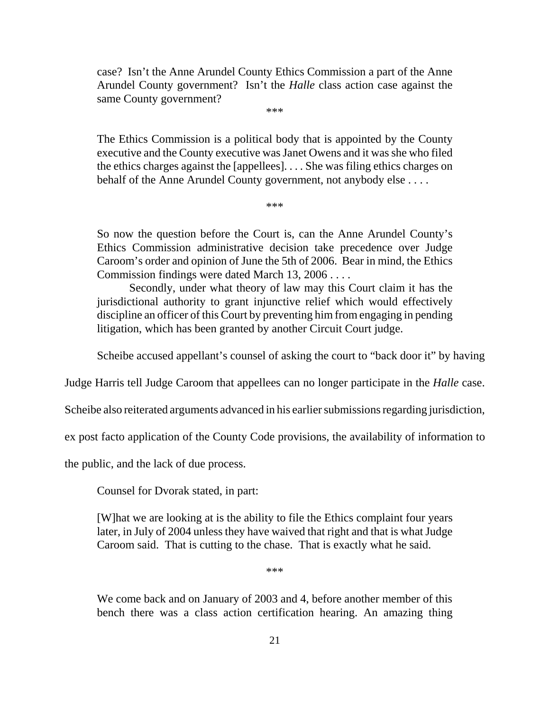case? Isn't the Anne Arundel County Ethics Commission a part of the Anne Arundel County government? Isn't the *Halle* class action case against the same County government?

\*\*\*

The Ethics Commission is a political body that is appointed by the County executive and the County executive was Janet Owens and it was she who filed the ethics charges against the [appellees]. . . . She was filing ethics charges on behalf of the Anne Arundel County government, not anybody else ....

\*\*\*

So now the question before the Court is, can the Anne Arundel County's Ethics Commission administrative decision take precedence over Judge Caroom's order and opinion of June the 5th of 2006. Bear in mind, the Ethics Commission findings were dated March 13, 2006 . . . .

Secondly, under what theory of law may this Court claim it has the jurisdictional authority to grant injunctive relief which would effectively discipline an officer of this Court by preventing him from engaging in pending litigation, which has been granted by another Circuit Court judge.

Scheibe accused appellant's counsel of asking the court to "back door it" by having

Judge Harris tell Judge Caroom that appellees can no longer participate in the *Halle* case.

Scheibe also reiterated arguments advanced in his earlier submissions regarding jurisdiction,

ex post facto application of the County Code provisions, the availability of information to

the public, and the lack of due process.

Counsel for Dvorak stated, in part:

[W]hat we are looking at is the ability to file the Ethics complaint four years later, in July of 2004 unless they have waived that right and that is what Judge Caroom said. That is cutting to the chase. That is exactly what he said.

\*\*\*

We come back and on January of 2003 and 4, before another member of this bench there was a class action certification hearing. An amazing thing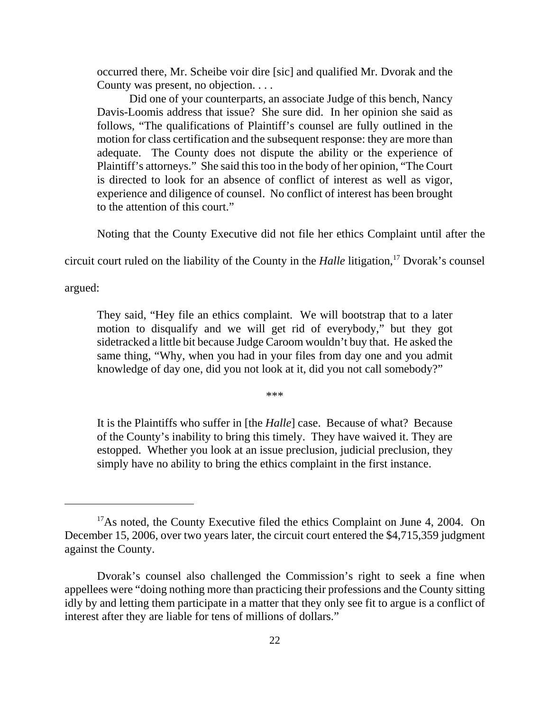occurred there, Mr. Scheibe voir dire [sic] and qualified Mr. Dvorak and the County was present, no objection. . . .

Did one of your counterparts, an associate Judge of this bench, Nancy Davis-Loomis address that issue? She sure did. In her opinion she said as follows, "The qualifications of Plaintiff's counsel are fully outlined in the motion for class certification and the subsequent response: they are more than adequate. The County does not dispute the ability or the experience of Plaintiff's attorneys." She said this too in the body of her opinion, "The Court is directed to look for an absence of conflict of interest as well as vigor, experience and diligence of counsel. No conflict of interest has been brought to the attention of this court."

Noting that the County Executive did not file her ethics Complaint until after the

circuit court ruled on the liability of the County in the *Halle* litigation,<sup>17</sup> Dvorak's counsel

argued:

They said, "Hey file an ethics complaint. We will bootstrap that to a later motion to disqualify and we will get rid of everybody," but they got sidetracked a little bit because Judge Caroom wouldn't buy that. He asked the same thing, "Why, when you had in your files from day one and you admit knowledge of day one, did you not look at it, did you not call somebody?"

\*\*\*

It is the Plaintiffs who suffer in [the *Halle*] case. Because of what? Because of the County's inability to bring this timely. They have waived it. They are estopped. Whether you look at an issue preclusion, judicial preclusion, they simply have no ability to bring the ethics complaint in the first instance.

<sup>&</sup>lt;sup>17</sup>As noted, the County Executive filed the ethics Complaint on June 4, 2004. On December 15, 2006, over two years later, the circuit court entered the \$4,715,359 judgment against the County.

Dvorak's counsel also challenged the Commission's right to seek a fine when appellees were "doing nothing more than practicing their professions and the County sitting idly by and letting them participate in a matter that they only see fit to argue is a conflict of interest after they are liable for tens of millions of dollars."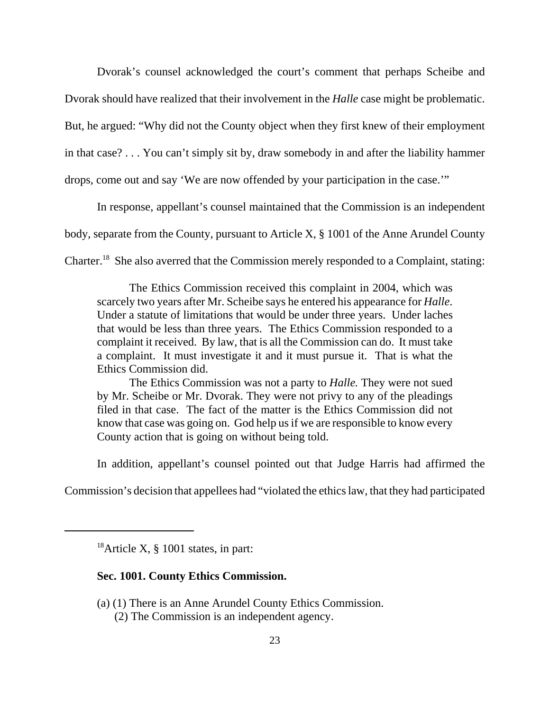Dvorak's counsel acknowledged the court's comment that perhaps Scheibe and Dvorak should have realized that their involvement in the *Halle* case might be problematic. But, he argued: "Why did not the County object when they first knew of their employment in that case? . . . You can't simply sit by, draw somebody in and after the liability hammer drops, come out and say 'We are now offended by your participation in the case.'"

In response, appellant's counsel maintained that the Commission is an independent body, separate from the County, pursuant to Article X, § 1001 of the Anne Arundel County Charter.18 She also averred that the Commission merely responded to a Complaint, stating:

The Ethics Commission received this complaint in 2004, which was scarcely two years after Mr. Scheibe says he entered his appearance for *Halle*. Under a statute of limitations that would be under three years. Under laches that would be less than three years. The Ethics Commission responded to a complaint it received. By law, that is all the Commission can do. It must take a complaint. It must investigate it and it must pursue it. That is what the Ethics Commission did.

The Ethics Commission was not a party to *Halle.* They were not sued by Mr. Scheibe or Mr. Dvorak. They were not privy to any of the pleadings filed in that case. The fact of the matter is the Ethics Commission did not know that case was going on. God help us if we are responsible to know every County action that is going on without being told.

In addition, appellant's counsel pointed out that Judge Harris had affirmed the

Commission's decision that appellees had "violated the ethics law, that they had participated

## **Sec. 1001. County Ethics Commission.**

- (a) (1) There is an Anne Arundel County Ethics Commission.
	- (2) The Commission is an independent agency.

<sup>&</sup>lt;sup>18</sup>Article X,  $\S$  1001 states, in part: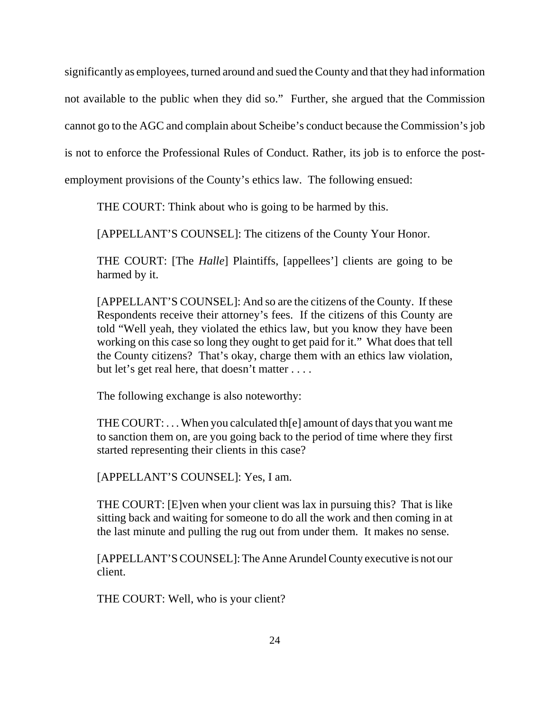significantly as employees, turned around and sued the County and that they had information not available to the public when they did so." Further, she argued that the Commission cannot go to the AGC and complain about Scheibe's conduct because the Commission's job is not to enforce the Professional Rules of Conduct. Rather, its job is to enforce the post-

employment provisions of the County's ethics law. The following ensued:

THE COURT: Think about who is going to be harmed by this.

[APPELLANT'S COUNSEL]: The citizens of the County Your Honor.

THE COURT: [The *Halle*] Plaintiffs, [appellees'] clients are going to be harmed by it.

[APPELLANT'S COUNSEL]: And so are the citizens of the County. If these Respondents receive their attorney's fees. If the citizens of this County are told "Well yeah, they violated the ethics law, but you know they have been working on this case so long they ought to get paid for it." What does that tell the County citizens? That's okay, charge them with an ethics law violation, but let's get real here, that doesn't matter . . . .

The following exchange is also noteworthy:

THE COURT: . . . When you calculated th[e] amount of days that you want me to sanction them on, are you going back to the period of time where they first started representing their clients in this case?

[APPELLANT'S COUNSEL]: Yes, I am.

THE COURT: [E]ven when your client was lax in pursuing this? That is like sitting back and waiting for someone to do all the work and then coming in at the last minute and pulling the rug out from under them. It makes no sense.

[APPELLANT'S COUNSEL]: The Anne Arundel County executive is not our client.

THE COURT: Well, who is your client?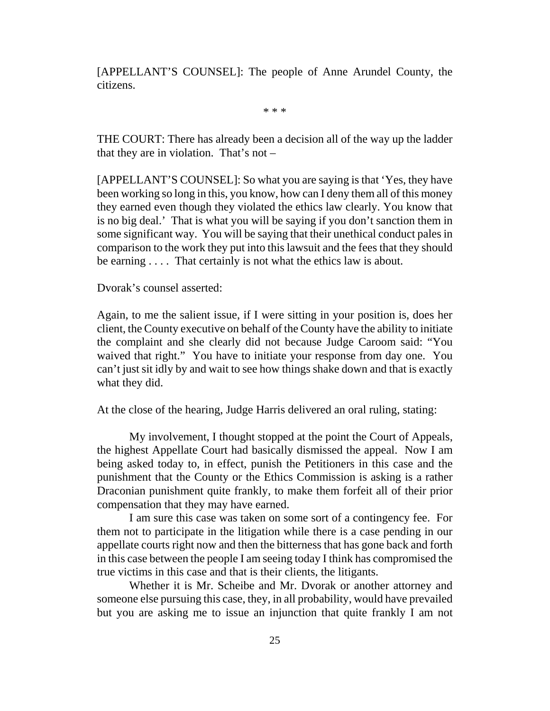[APPELLANT'S COUNSEL]: The people of Anne Arundel County, the citizens.

\* \* \*

THE COURT: There has already been a decision all of the way up the ladder that they are in violation. That's not –

[APPELLANT'S COUNSEL]: So what you are saying is that 'Yes, they have been working so long in this, you know, how can I deny them all of this money they earned even though they violated the ethics law clearly. You know that is no big deal.' That is what you will be saying if you don't sanction them in some significant way. You will be saying that their unethical conduct pales in comparison to the work they put into this lawsuit and the fees that they should be earning . . . . That certainly is not what the ethics law is about.

Dvorak's counsel asserted:

Again, to me the salient issue, if I were sitting in your position is, does her client, the County executive on behalf of the County have the ability to initiate the complaint and she clearly did not because Judge Caroom said: "You waived that right." You have to initiate your response from day one. You can't just sit idly by and wait to see how things shake down and that is exactly what they did.

At the close of the hearing, Judge Harris delivered an oral ruling, stating:

My involvement, I thought stopped at the point the Court of Appeals, the highest Appellate Court had basically dismissed the appeal. Now I am being asked today to, in effect, punish the Petitioners in this case and the punishment that the County or the Ethics Commission is asking is a rather Draconian punishment quite frankly, to make them forfeit all of their prior compensation that they may have earned.

I am sure this case was taken on some sort of a contingency fee. For them not to participate in the litigation while there is a case pending in our appellate courts right now and then the bitterness that has gone back and forth in this case between the people I am seeing today I think has compromised the true victims in this case and that is their clients, the litigants.

Whether it is Mr. Scheibe and Mr. Dvorak or another attorney and someone else pursuing this case, they, in all probability, would have prevailed but you are asking me to issue an injunction that quite frankly I am not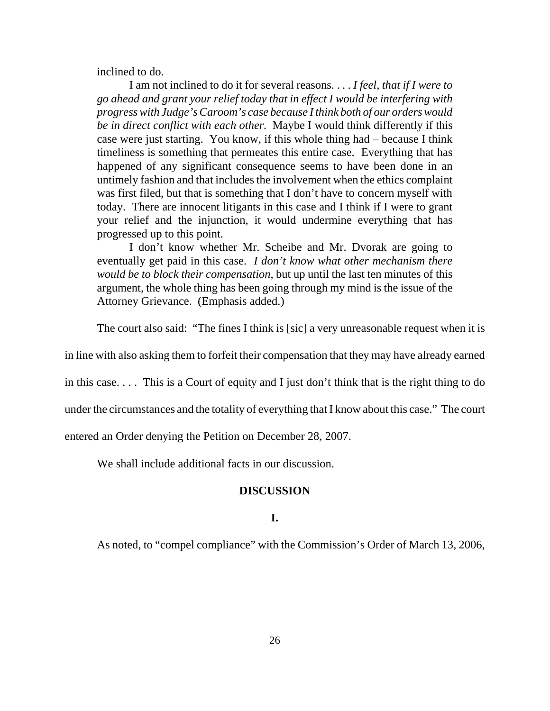inclined to do.

I am not inclined to do it for several reasons. . . . *I feel, that if I were to go ahead and grant your relief today that in effect I would be interfering with progress with Judge's Caroom's case because I think both of our orders would be in direct conflict with each other.* Maybe I would think differently if this case were just starting. You know, if this whole thing had – because I think timeliness is something that permeates this entire case. Everything that has happened of any significant consequence seems to have been done in an untimely fashion and that includes the involvement when the ethics complaint was first filed, but that is something that I don't have to concern myself with today. There are innocent litigants in this case and I think if I were to grant your relief and the injunction, it would undermine everything that has progressed up to this point.

I don't know whether Mr. Scheibe and Mr. Dvorak are going to eventually get paid in this case. *I don't know what other mechanism there would be to block their compensation*, but up until the last ten minutes of this argument, the whole thing has been going through my mind is the issue of the Attorney Grievance. (Emphasis added.)

The court also said: "The fines I think is [sic] a very unreasonable request when it is

in line with also asking them to forfeit their compensation that they may have already earned

in this case. . . . This is a Court of equity and I just don't think that is the right thing to do

under the circumstances and the totality of everything that I know about this case." The court

entered an Order denying the Petition on December 28, 2007.

We shall include additional facts in our discussion.

## **DISCUSSION**

#### **I.**

As noted, to "compel compliance" with the Commission's Order of March 13, 2006,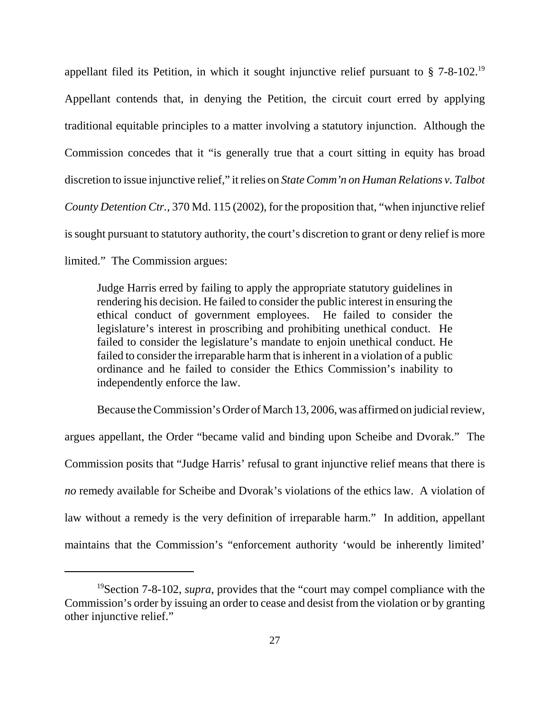appellant filed its Petition, in which it sought injunctive relief pursuant to  $\S$  7-8-102.<sup>19</sup> Appellant contends that, in denying the Petition, the circuit court erred by applying traditional equitable principles to a matter involving a statutory injunction. Although the Commission concedes that it "is generally true that a court sitting in equity has broad discretion to issue injunctive relief," it relies on *State Comm'n on Human Relations v. Talbot County Detention Ctr.,* 370 Md. 115 (2002), for the proposition that, "when injunctive relief is sought pursuant to statutory authority, the court's discretion to grant or deny relief is more limited." The Commission argues:

Judge Harris erred by failing to apply the appropriate statutory guidelines in rendering his decision. He failed to consider the public interest in ensuring the ethical conduct of government employees. He failed to consider the legislature's interest in proscribing and prohibiting unethical conduct. He failed to consider the legislature's mandate to enjoin unethical conduct. He failed to consider the irreparable harm that is inherent in a violation of a public ordinance and he failed to consider the Ethics Commission's inability to independently enforce the law.

Because the Commission's Order of March 13, 2006, was affirmed on judicial review, argues appellant, the Order "became valid and binding upon Scheibe and Dvorak." The Commission posits that "Judge Harris' refusal to grant injunctive relief means that there is *no* remedy available for Scheibe and Dvorak's violations of the ethics law. A violation of law without a remedy is the very definition of irreparable harm." In addition, appellant maintains that the Commission's "enforcement authority 'would be inherently limited'

<sup>19</sup>Section 7-8-102, *supra*, provides that the "court may compel compliance with the Commission's order by issuing an order to cease and desist from the violation or by granting other injunctive relief."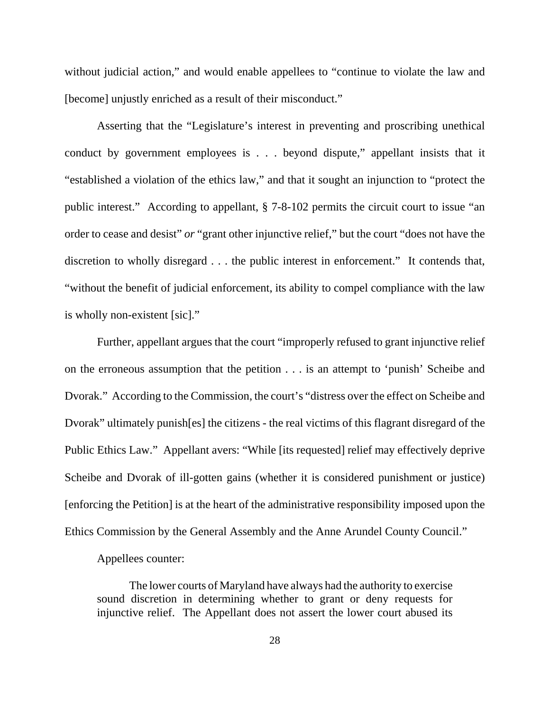without judicial action," and would enable appellees to "continue to violate the law and [become] unjustly enriched as a result of their misconduct."

Asserting that the "Legislature's interest in preventing and proscribing unethical conduct by government employees is . . . beyond dispute," appellant insists that it "established a violation of the ethics law," and that it sought an injunction to "protect the public interest." According to appellant, § 7-8-102 permits the circuit court to issue "an order to cease and desist" *or* "grant other injunctive relief," but the court "does not have the discretion to wholly disregard . . . the public interest in enforcement." It contends that, "without the benefit of judicial enforcement, its ability to compel compliance with the law is wholly non-existent [sic]."

Further, appellant argues that the court "improperly refused to grant injunctive relief on the erroneous assumption that the petition . . . is an attempt to 'punish' Scheibe and Dvorak." According to the Commission, the court's "distress over the effect on Scheibe and Dvorak" ultimately punish[es] the citizens - the real victims of this flagrant disregard of the Public Ethics Law." Appellant avers: "While [its requested] relief may effectively deprive Scheibe and Dvorak of ill-gotten gains (whether it is considered punishment or justice) [enforcing the Petition] is at the heart of the administrative responsibility imposed upon the Ethics Commission by the General Assembly and the Anne Arundel County Council."

## Appellees counter:

The lower courts of Maryland have always had the authority to exercise sound discretion in determining whether to grant or deny requests for injunctive relief. The Appellant does not assert the lower court abused its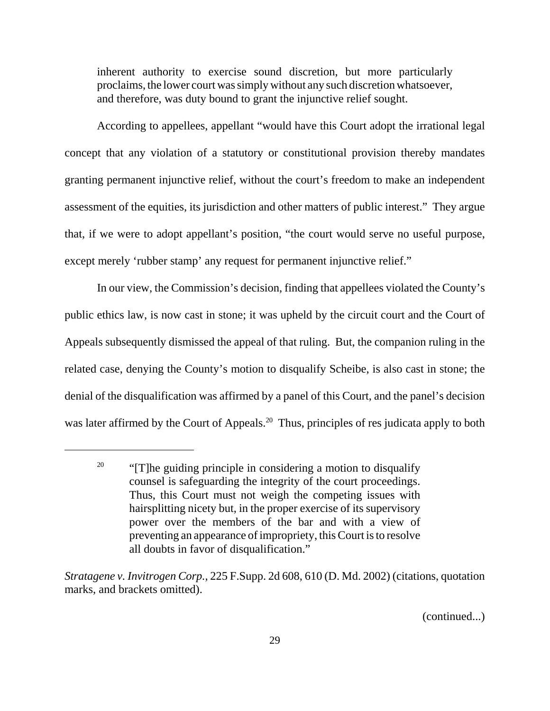inherent authority to exercise sound discretion, but more particularly proclaims, the lower court was simply without any such discretion whatsoever, and therefore, was duty bound to grant the injunctive relief sought.

According to appellees, appellant "would have this Court adopt the irrational legal concept that any violation of a statutory or constitutional provision thereby mandates granting permanent injunctive relief, without the court's freedom to make an independent assessment of the equities, its jurisdiction and other matters of public interest." They argue that, if we were to adopt appellant's position, "the court would serve no useful purpose, except merely 'rubber stamp' any request for permanent injunctive relief."

In our view, the Commission's decision, finding that appellees violated the County's public ethics law, is now cast in stone; it was upheld by the circuit court and the Court of Appeals subsequently dismissed the appeal of that ruling. But, the companion ruling in the related case, denying the County's motion to disqualify Scheibe, is also cast in stone; the denial of the disqualification was affirmed by a panel of this Court, and the panel's decision was later affirmed by the Court of Appeals.<sup>20</sup> Thus, principles of res judicata apply to both

(continued...)

<sup>&</sup>lt;sup>20</sup> "[T]he guiding principle in considering a motion to disqualify counsel is safeguarding the integrity of the court proceedings. Thus, this Court must not weigh the competing issues with hairsplitting nicety but, in the proper exercise of its supervisory power over the members of the bar and with a view of preventing an appearance of impropriety, this Court is to resolve all doubts in favor of disqualification."

*Stratagene v. Invitrogen Corp.,* 225 F.Supp. 2d 608, 610 (D. Md. 2002) (citations, quotation marks, and brackets omitted).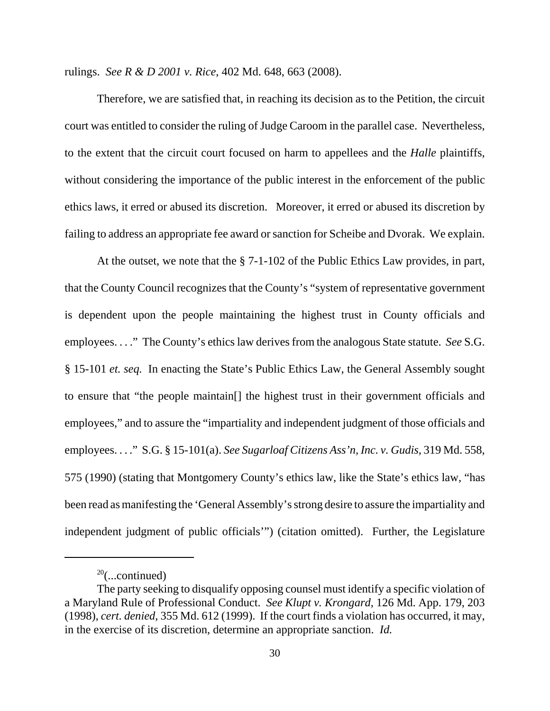rulings. *See R & D 2001 v. Rice*, 402 Md. 648, 663 (2008).

Therefore, we are satisfied that, in reaching its decision as to the Petition, the circuit court was entitled to consider the ruling of Judge Caroom in the parallel case. Nevertheless, to the extent that the circuit court focused on harm to appellees and the *Halle* plaintiffs, without considering the importance of the public interest in the enforcement of the public ethics laws, it erred or abused its discretion. Moreover, it erred or abused its discretion by failing to address an appropriate fee award or sanction for Scheibe and Dvorak. We explain.

At the outset, we note that the § 7-1-102 of the Public Ethics Law provides, in part, that the County Council recognizes that the County's "system of representative government is dependent upon the people maintaining the highest trust in County officials and employees. . . ." The County's ethics law derives from the analogous State statute. *See* S.G. § 15-101 *et. seq.* In enacting the State's Public Ethics Law, the General Assembly sought to ensure that "the people maintain[] the highest trust in their government officials and employees," and to assure the "impartiality and independent judgment of those officials and employees. . . ." S.G. § 15-101(a). *See Sugarloaf Citizens Ass'n, Inc. v. Gudis*, 319 Md. 558, 575 (1990) (stating that Montgomery County's ethics law, like the State's ethics law, "has been read as manifesting the 'General Assembly's strong desire to assure the impartiality and independent judgment of public officials'") (citation omitted). Further, the Legislature

 $20$ (...continued)

The party seeking to disqualify opposing counsel must identify a specific violation of a Maryland Rule of Professional Conduct. *See Klupt v. Krongard*, 126 Md. App. 179, 203 (1998), *cert. denied*, 355 Md. 612 (1999). If the court finds a violation has occurred, it may, in the exercise of its discretion, determine an appropriate sanction. *Id.*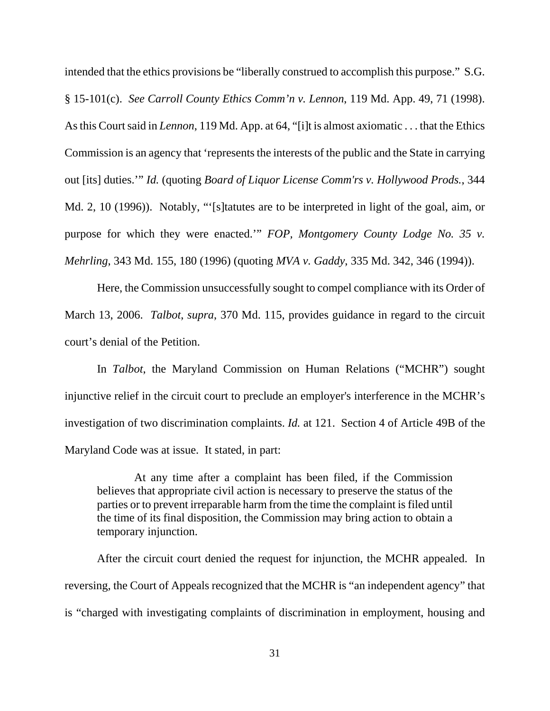intended that the ethics provisions be "liberally construed to accomplish this purpose." S.G. § 15-101(c). *See Carroll County Ethics Comm'n v. Lennon*, 119 Md. App. 49, 71 (1998). As this Court said in *Lennon*, 119 Md. App. at 64, "[i]t is almost axiomatic . . . that the Ethics Commission is an agency that 'represents the interests of the public and the State in carrying out [its] duties.'" *Id.* (quoting *Board of Liquor License Comm'rs v. Hollywood Prods.*, 344 Md. 2, 10 (1996)). Notably, "'[s]tatutes are to be interpreted in light of the goal, aim, or purpose for which they were enacted.'" *FOP, Montgomery County Lodge No. 35 v. Mehrling*, 343 Md. 155, 180 (1996) (quoting *MVA v. Gaddy*, 335 Md. 342, 346 (1994)).

Here, the Commission unsuccessfully sought to compel compliance with its Order of March 13, 2006. *Talbot*, *supra*, 370 Md. 115, provides guidance in regard to the circuit court's denial of the Petition.

In *Talbot*, the Maryland Commission on Human Relations ("MCHR") sought injunctive relief in the circuit court to preclude an employer's interference in the MCHR's investigation of two discrimination complaints. *Id.* at 121. Section 4 of Article 49B of the Maryland Code was at issue. It stated, in part:

 At any time after a complaint has been filed, if the Commission believes that appropriate civil action is necessary to preserve the status of the parties or to prevent irreparable harm from the time the complaint is filed until the time of its final disposition, the Commission may bring action to obtain a temporary injunction.

After the circuit court denied the request for injunction, the MCHR appealed. In reversing, the Court of Appeals recognized that the MCHR is "an independent agency" that is "charged with investigating complaints of discrimination in employment, housing and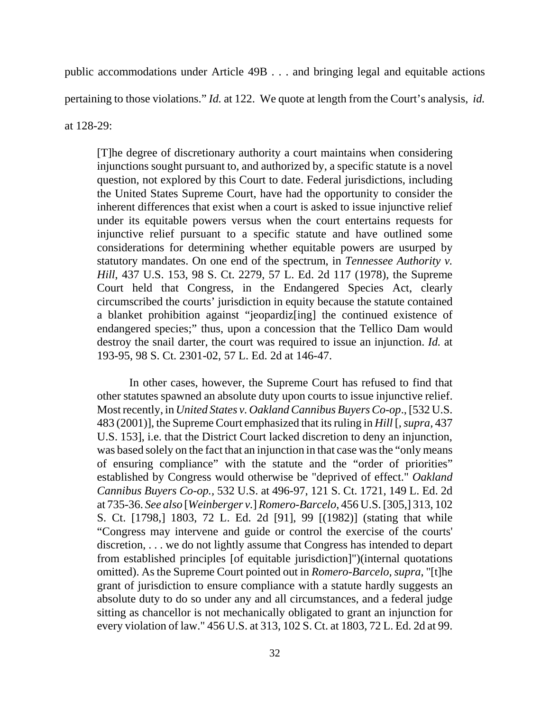public accommodations under Article 49B . . . and bringing legal and equitable actions pertaining to those violations." *Id.* at 122. We quote at length from the Court's analysis, *id.* at 128-29:

[T]he degree of discretionary authority a court maintains when considering injunctions sought pursuant to, and authorized by, a specific statute is a novel question, not explored by this Court to date. Federal jurisdictions, including the United States Supreme Court, have had the opportunity to consider the inherent differences that exist when a court is asked to issue injunctive relief under its equitable powers versus when the court entertains requests for injunctive relief pursuant to a specific statute and have outlined some considerations for determining whether equitable powers are usurped by statutory mandates. On one end of the spectrum, in *Tennessee Authority v. Hill*, 437 U.S. 153, 98 S. Ct. 2279, 57 L. Ed. 2d 117 (1978), the Supreme Court held that Congress, in the Endangered Species Act, clearly circumscribed the courts' jurisdiction in equity because the statute contained a blanket prohibition against "jeopardiz[ing] the continued existence of endangered species;" thus, upon a concession that the Tellico Dam would destroy the snail darter, the court was required to issue an injunction. *Id.* at 193-95, 98 S. Ct. 2301-02, 57 L. Ed. 2d at 146-47.

In other cases, however, the Supreme Court has refused to find that other statutes spawned an absolute duty upon courts to issue injunctive relief. Most recently, in *United States v. Oakland Cannibus Buyers Co-op*., [532 U.S. 483 (2001)], the Supreme Court emphasized that its ruling in *Hill* [*, supra,* 437 U.S. 153], i.e. that the District Court lacked discretion to deny an injunction, was based solely on the fact that an injunction in that case was the "only means of ensuring compliance" with the statute and the "order of priorities" established by Congress would otherwise be "deprived of effect." *Oakland Cannibus Buyers Co-op.,* 532 U.S. at 496-97, 121 S. Ct. 1721, 149 L. Ed. 2d at 735-36. *See also* [*Weinberger v.*] *Romero-Barcelo*, 456 U.S. [305,] 313, 102 S. Ct. [1798,] 1803, 72 L. Ed. 2d [91], 99 [(1982)] (stating that while "Congress may intervene and guide or control the exercise of the courts' discretion, . . . we do not lightly assume that Congress has intended to depart from established principles [of equitable jurisdiction]")(internal quotations omitted). As the Supreme Court pointed out in *Romero-Barcelo, supra*, "[t]he grant of jurisdiction to ensure compliance with a statute hardly suggests an absolute duty to do so under any and all circumstances, and a federal judge sitting as chancellor is not mechanically obligated to grant an injunction for every violation of law." 456 U.S. at 313, 102 S. Ct. at 1803, 72 L. Ed. 2d at 99.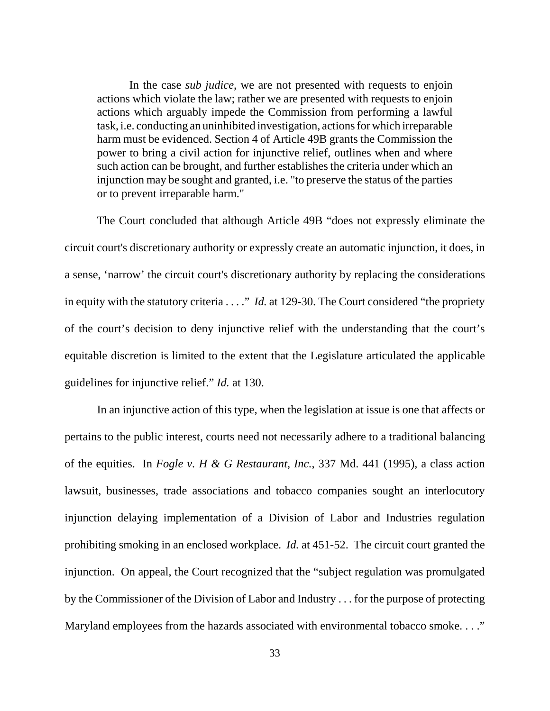In the case *sub judice*, we are not presented with requests to enjoin actions which violate the law; rather we are presented with requests to enjoin actions which arguably impede the Commission from performing a lawful task, i.e. conducting an uninhibited investigation, actions for which irreparable harm must be evidenced. Section 4 of Article 49B grants the Commission the power to bring a civil action for injunctive relief, outlines when and where such action can be brought, and further establishes the criteria under which an injunction may be sought and granted, i.e. "to preserve the status of the parties or to prevent irreparable harm."

The Court concluded that although Article 49B "does not expressly eliminate the circuit court's discretionary authority or expressly create an automatic injunction, it does, in a sense, 'narrow' the circuit court's discretionary authority by replacing the considerations in equity with the statutory criteria . . . ." *Id.* at 129-30. The Court considered "the propriety of the court's decision to deny injunctive relief with the understanding that the court's equitable discretion is limited to the extent that the Legislature articulated the applicable guidelines for injunctive relief." *Id.* at 130.

In an injunctive action of this type, when the legislation at issue is one that affects or pertains to the public interest, courts need not necessarily adhere to a traditional balancing of the equities. In *Fogle v. H & G Restaurant, Inc.*, 337 Md. 441 (1995), a class action lawsuit, businesses, trade associations and tobacco companies sought an interlocutory injunction delaying implementation of a Division of Labor and Industries regulation prohibiting smoking in an enclosed workplace. *Id.* at 451-52. The circuit court granted the injunction. On appeal, the Court recognized that the "subject regulation was promulgated by the Commissioner of the Division of Labor and Industry . . . for the purpose of protecting Maryland employees from the hazards associated with environmental tobacco smoke. . . ."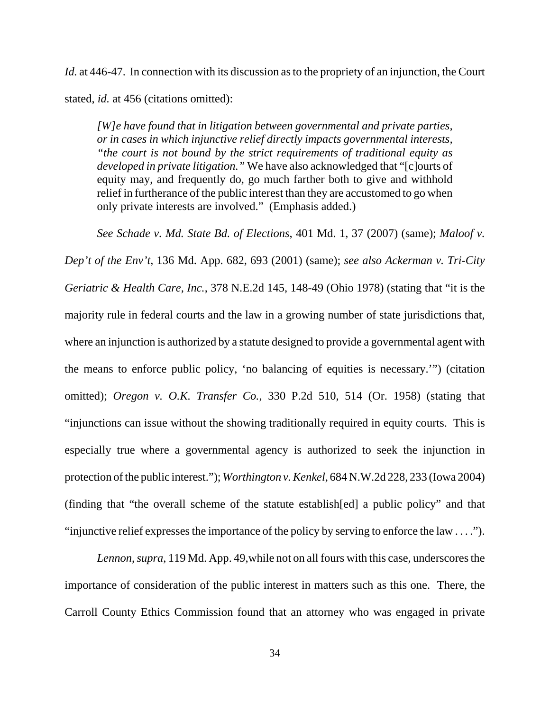*Id.* at 446-47. In connection with its discussion as to the propriety of an injunction, the Court stated, *id.* at 456 (citations omitted):

*[W]e have found that in litigation between governmental and private parties, or in cases in which injunctive relief directly impacts governmental interests, "the court is not bound by the strict requirements of traditional equity as developed in private litigation."* We have also acknowledged that "[c]ourts of equity may, and frequently do, go much farther both to give and withhold relief in furtherance of the public interest than they are accustomed to go when only private interests are involved." (Emphasis added.)

*See Schade v. Md. State Bd. of Elections*, 401 Md. 1, 37 (2007) (same); *Maloof v.*

*Dep't of the Env't*, 136 Md. App. 682, 693 (2001) (same); *see also Ackerman v. Tri-City Geriatric & Health Care, Inc.*, 378 N.E.2d 145, 148-49 (Ohio 1978) (stating that "it is the majority rule in federal courts and the law in a growing number of state jurisdictions that, where an injunction is authorized by a statute designed to provide a governmental agent with the means to enforce public policy, 'no balancing of equities is necessary.'") (citation omitted); *Oregon v. O.K. Transfer Co.*, 330 P.2d 510, 514 (Or. 1958) (stating that "injunctions can issue without the showing traditionally required in equity courts. This is especially true where a governmental agency is authorized to seek the injunction in protection of the public interest."); *Worthington v. Kenkel*, 684 N.W.2d 228, 233 (Iowa 2004) (finding that "the overall scheme of the statute establish[ed] a public policy" and that "injunctive relief expresses the importance of the policy by serving to enforce the law . . . .").

*Lennon*, *supra*, 119 Md. App. 49,while not on all fours with this case, underscores the importance of consideration of the public interest in matters such as this one. There, the Carroll County Ethics Commission found that an attorney who was engaged in private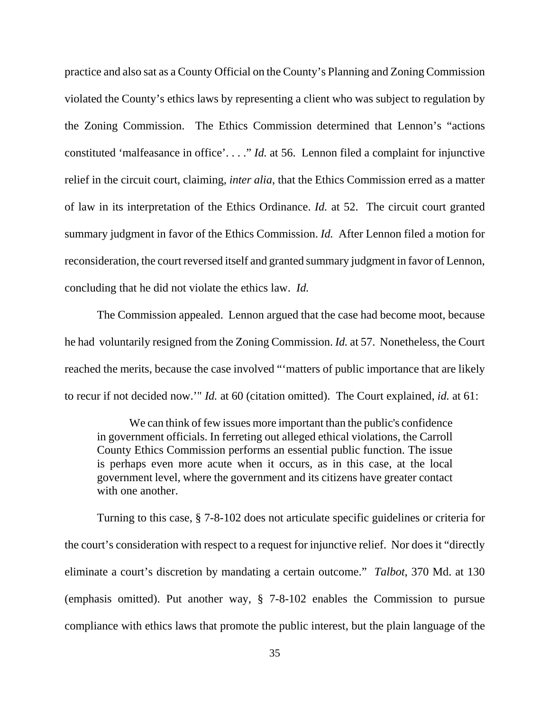practice and also sat as a County Official on the County's Planning and Zoning Commission violated the County's ethics laws by representing a client who was subject to regulation by the Zoning Commission. The Ethics Commission determined that Lennon's "actions constituted 'malfeasance in office'. . . ." *Id.* at 56. Lennon filed a complaint for injunctive relief in the circuit court, claiming, *inter alia*, that the Ethics Commission erred as a matter of law in its interpretation of the Ethics Ordinance. *Id.* at 52. The circuit court granted summary judgment in favor of the Ethics Commission. *Id.* After Lennon filed a motion for reconsideration, the court reversed itself and granted summary judgment in favor of Lennon, concluding that he did not violate the ethics law. *Id.*

The Commission appealed. Lennon argued that the case had become moot, because he had voluntarily resigned from the Zoning Commission. *Id.* at 57. Nonetheless, the Court reached the merits, because the case involved "'matters of public importance that are likely to recur if not decided now.'" *Id.* at 60 (citation omitted). The Court explained, *id.* at 61:

We can think of few issues more important than the public's confidence in government officials. In ferreting out alleged ethical violations, the Carroll County Ethics Commission performs an essential public function. The issue is perhaps even more acute when it occurs, as in this case, at the local government level, where the government and its citizens have greater contact with one another.

Turning to this case, § 7-8-102 does not articulate specific guidelines or criteria for the court's consideration with respect to a request for injunctive relief. Nor does it "directly eliminate a court's discretion by mandating a certain outcome." *Talbot*, 370 Md. at 130 (emphasis omitted). Put another way, § 7-8-102 enables the Commission to pursue compliance with ethics laws that promote the public interest, but the plain language of the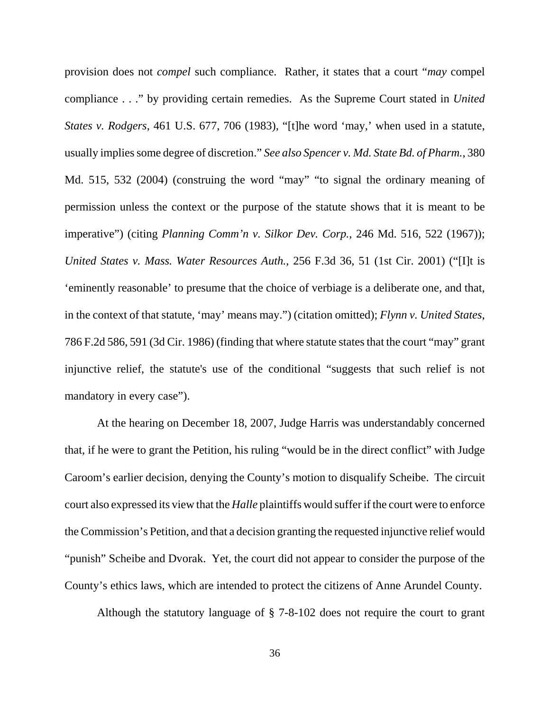provision does not *compel* such compliance. Rather, it states that a court "*may* compel compliance . . ." by providing certain remedies. As the Supreme Court stated in *United States v. Rodgers*, 461 U.S. 677, 706 (1983), "[t]he word 'may,' when used in a statute, usually implies some degree of discretion." *See also Spencer v. Md. State Bd. of Pharm.*, 380 Md. 515, 532 (2004) (construing the word "may" "to signal the ordinary meaning of permission unless the context or the purpose of the statute shows that it is meant to be imperative") (citing *Planning Comm'n v. Silkor Dev. Corp.*, 246 Md. 516, 522 (1967)); *United States v. Mass. Water Resources Auth.*, 256 F.3d 36, 51 (1st Cir. 2001) ("[I]t is 'eminently reasonable' to presume that the choice of verbiage is a deliberate one, and that, in the context of that statute, 'may' means may.") (citation omitted); *Flynn v. United States*, 786 F.2d 586, 591 (3d Cir. 1986) (finding that where statute states that the court "may" grant injunctive relief, the statute's use of the conditional "suggests that such relief is not mandatory in every case").

At the hearing on December 18, 2007, Judge Harris was understandably concerned that, if he were to grant the Petition, his ruling "would be in the direct conflict" with Judge Caroom's earlier decision, denying the County's motion to disqualify Scheibe. The circuit court also expressed its view that the *Halle* plaintiffs would suffer if the court were to enforce the Commission's Petition, and that a decision granting the requested injunctive relief would "punish" Scheibe and Dvorak. Yet, the court did not appear to consider the purpose of the County's ethics laws, which are intended to protect the citizens of Anne Arundel County.

Although the statutory language of § 7-8-102 does not require the court to grant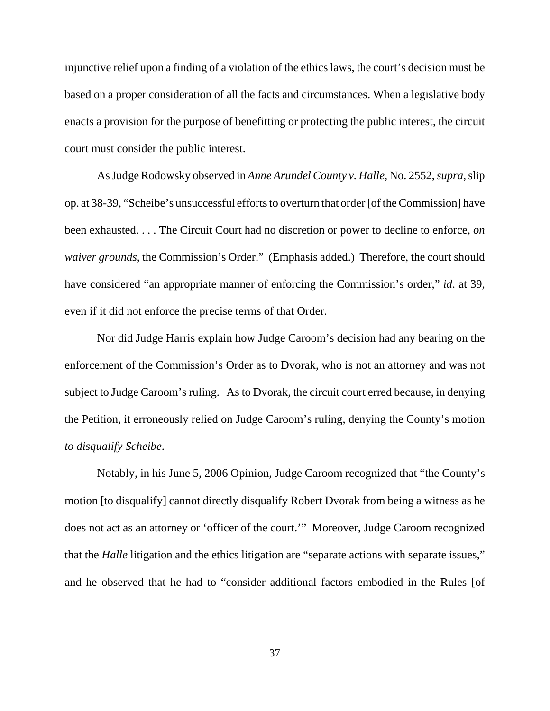injunctive relief upon a finding of a violation of the ethics laws, the court's decision must be based on a proper consideration of all the facts and circumstances. When a legislative body enacts a provision for the purpose of benefitting or protecting the public interest, the circuit court must consider the public interest.

As Judge Rodowsky observed in *Anne Arundel County v. Halle*, No. 2552, *supra*, slip op. at 38-39, "Scheibe's unsuccessful efforts to overturn that order [of the Commission] have been exhausted. . . . The Circuit Court had no discretion or power to decline to enforce, *on waiver grounds*, the Commission's Order." (Emphasis added.) Therefore, the court should have considered "an appropriate manner of enforcing the Commission's order," *id*. at 39, even if it did not enforce the precise terms of that Order.

Nor did Judge Harris explain how Judge Caroom's decision had any bearing on the enforcement of the Commission's Order as to Dvorak, who is not an attorney and was not subject to Judge Caroom's ruling. As to Dvorak, the circuit court erred because, in denying the Petition, it erroneously relied on Judge Caroom's ruling, denying the County's motion *to disqualify Scheibe*.

Notably, in his June 5, 2006 Opinion, Judge Caroom recognized that "the County's motion [to disqualify] cannot directly disqualify Robert Dvorak from being a witness as he does not act as an attorney or 'officer of the court.'" Moreover, Judge Caroom recognized that the *Halle* litigation and the ethics litigation are "separate actions with separate issues," and he observed that he had to "consider additional factors embodied in the Rules [of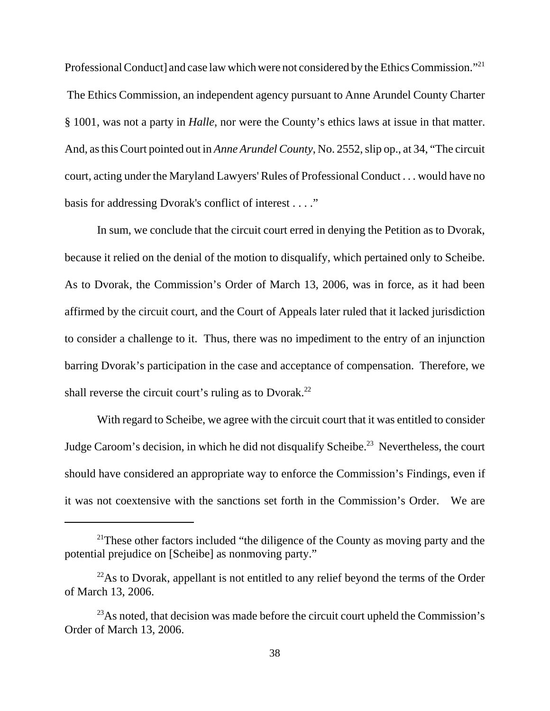Professional Conduct] and case law which were not considered by the Ethics Commission."<sup>21</sup> The Ethics Commission, an independent agency pursuant to Anne Arundel County Charter § 1001, was not a party in *Halle*, nor were the County's ethics laws at issue in that matter. And, as this Court pointed out in *Anne Arundel County*, No. 2552, slip op., at 34, "The circuit court, acting under the Maryland Lawyers' Rules of Professional Conduct . . . would have no basis for addressing Dvorak's conflict of interest . . . ."

In sum, we conclude that the circuit court erred in denying the Petition as to Dvorak, because it relied on the denial of the motion to disqualify, which pertained only to Scheibe. As to Dvorak, the Commission's Order of March 13, 2006, was in force, as it had been affirmed by the circuit court, and the Court of Appeals later ruled that it lacked jurisdiction to consider a challenge to it. Thus, there was no impediment to the entry of an injunction barring Dvorak's participation in the case and acceptance of compensation. Therefore, we shall reverse the circuit court's ruling as to Dvorak.<sup>22</sup>

With regard to Scheibe, we agree with the circuit court that it was entitled to consider Judge Caroom's decision, in which he did not disqualify Scheibe.<sup>23</sup> Nevertheless, the court should have considered an appropriate way to enforce the Commission's Findings, even if it was not coextensive with the sanctions set forth in the Commission's Order. We are

<sup>&</sup>lt;sup>21</sup>These other factors included "the diligence of the County as moving party and the potential prejudice on [Scheibe] as nonmoving party."

 $^{22}$ As to Dvorak, appellant is not entitled to any relief beyond the terms of the Order of March 13, 2006.

<sup>&</sup>lt;sup>23</sup>As noted, that decision was made before the circuit court upheld the Commission's Order of March 13, 2006.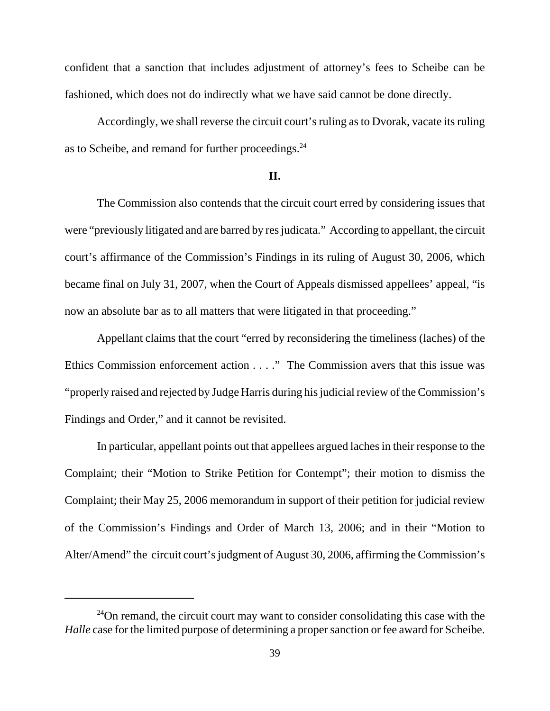confident that a sanction that includes adjustment of attorney's fees to Scheibe can be fashioned, which does not do indirectly what we have said cannot be done directly.

Accordingly, we shall reverse the circuit court's ruling as to Dvorak, vacate its ruling as to Scheibe, and remand for further proceedings.<sup>24</sup>

#### **II.**

The Commission also contends that the circuit court erred by considering issues that were "previously litigated and are barred by res judicata." According to appellant, the circuit court's affirmance of the Commission's Findings in its ruling of August 30, 2006, which became final on July 31, 2007, when the Court of Appeals dismissed appellees' appeal, "is now an absolute bar as to all matters that were litigated in that proceeding."

Appellant claims that the court "erred by reconsidering the timeliness (laches) of the Ethics Commission enforcement action . . . ." The Commission avers that this issue was "properly raised and rejected by Judge Harris during his judicial review of the Commission's Findings and Order," and it cannot be revisited.

In particular, appellant points out that appellees argued laches in their response to the Complaint; their "Motion to Strike Petition for Contempt"; their motion to dismiss the Complaint; their May 25, 2006 memorandum in support of their petition for judicial review of the Commission's Findings and Order of March 13, 2006; and in their "Motion to Alter/Amend" the circuit court's judgment of August 30, 2006, affirming the Commission's

 $24$ On remand, the circuit court may want to consider consolidating this case with the *Halle* case for the limited purpose of determining a proper sanction or fee award for Scheibe.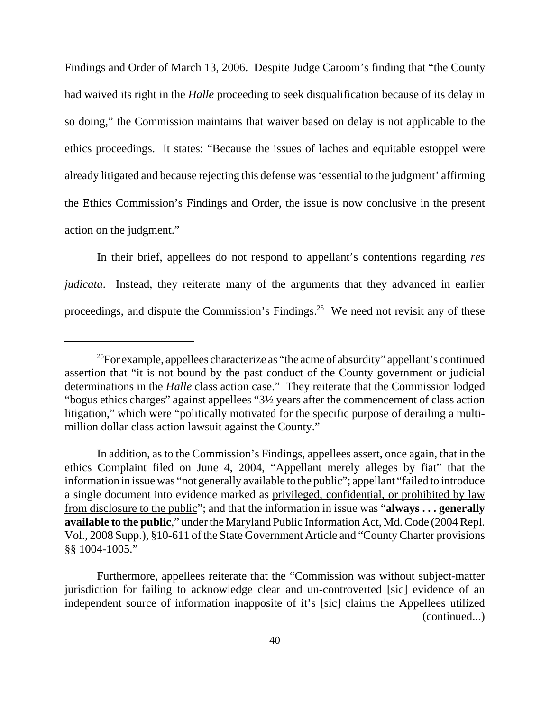Findings and Order of March 13, 2006. Despite Judge Caroom's finding that "the County had waived its right in the *Halle* proceeding to seek disqualification because of its delay in so doing," the Commission maintains that waiver based on delay is not applicable to the ethics proceedings. It states: "Because the issues of laches and equitable estoppel were already litigated and because rejecting this defense was 'essential to the judgment' affirming the Ethics Commission's Findings and Order, the issue is now conclusive in the present action on the judgment."

In their brief, appellees do not respond to appellant's contentions regarding *res judicata*. Instead, they reiterate many of the arguments that they advanced in earlier proceedings, and dispute the Commission's Findings.<sup>25</sup> We need not revisit any of these

<sup>&</sup>lt;sup>25</sup>For example, appellees characterize as "the acme of absurdity" appellant's continued assertion that "it is not bound by the past conduct of the County government or judicial determinations in the *Halle* class action case." They reiterate that the Commission lodged "bogus ethics charges" against appellees "3½ years after the commencement of class action litigation," which were "politically motivated for the specific purpose of derailing a multimillion dollar class action lawsuit against the County."

In addition, as to the Commission's Findings, appellees assert, once again, that in the ethics Complaint filed on June 4, 2004, "Appellant merely alleges by fiat" that the information in issue was "not generally available to the public"; appellant "failed to introduce a single document into evidence marked as privileged, confidential, or prohibited by law from disclosure to the public"; and that the information in issue was "**always . . . generally available to the public**," under the Maryland Public Information Act, Md. Code (2004 Repl. Vol., 2008 Supp.), §10-611 of the State Government Article and "County Charter provisions §§ 1004-1005."

Furthermore, appellees reiterate that the "Commission was without subject-matter jurisdiction for failing to acknowledge clear and un-controverted [sic] evidence of an independent source of information inapposite of it's [sic] claims the Appellees utilized (continued...)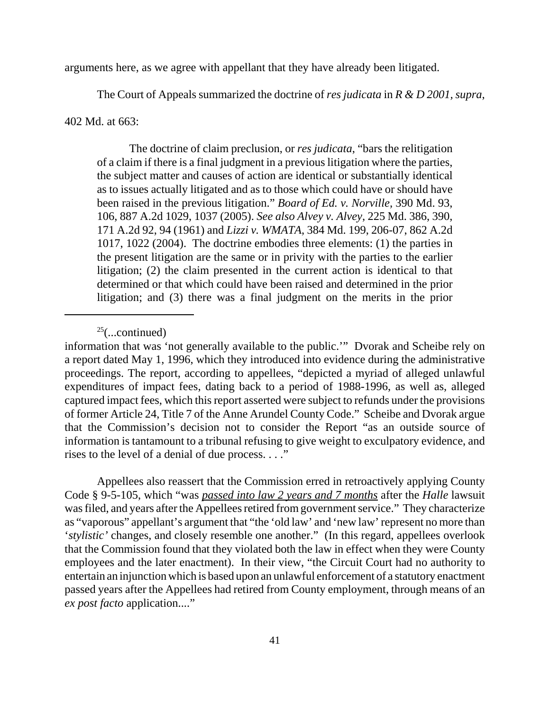arguments here, as we agree with appellant that they have already been litigated.

The Court of Appeals summarized the doctrine of *res judicata* in *R & D 2001, supra*,

402 Md. at 663:

The doctrine of claim preclusion, or *res judicata*, "bars the relitigation of a claim if there is a final judgment in a previous litigation where the parties, the subject matter and causes of action are identical or substantially identical as to issues actually litigated and as to those which could have or should have been raised in the previous litigation." *Board of Ed. v. Norville,* 390 Md. 93, 106, 887 A.2d 1029, 1037 (2005). *See also Alvey v. Alvey*, 225 Md. 386, 390, 171 A.2d 92, 94 (1961) and *Lizzi v. WMATA*, 384 Md. 199, 206-07, 862 A.2d 1017, 1022 (2004). The doctrine embodies three elements: (1) the parties in the present litigation are the same or in privity with the parties to the earlier litigation; (2) the claim presented in the current action is identical to that determined or that which could have been raised and determined in the prior litigation; and (3) there was a final judgment on the merits in the prior

Appellees also reassert that the Commission erred in retroactively applying County Code § 9-5-105, which "was *passed into law 2 years and 7 months* after the *Halle* lawsuit was filed, and years after the Appellees retired from government service." They characterize as "vaporous" appellant's argument that "the 'old law' and 'new law' represent no more than '*stylistic'* changes, and closely resemble one another." (In this regard, appellees overlook that the Commission found that they violated both the law in effect when they were County employees and the later enactment). In their view, "the Circuit Court had no authority to entertain an injunction which is based upon an unlawful enforcement of a statutory enactment passed years after the Appellees had retired from County employment, through means of an *ex post facto* application...."

 $25$ (...continued)

information that was 'not generally available to the public.'" Dvorak and Scheibe rely on a report dated May 1, 1996, which they introduced into evidence during the administrative proceedings. The report, according to appellees, "depicted a myriad of alleged unlawful expenditures of impact fees, dating back to a period of 1988-1996, as well as, alleged captured impact fees, which this report asserted were subject to refunds under the provisions of former Article 24, Title 7 of the Anne Arundel County Code." Scheibe and Dvorak argue that the Commission's decision not to consider the Report "as an outside source of information is tantamount to a tribunal refusing to give weight to exculpatory evidence, and rises to the level of a denial of due process. . . ."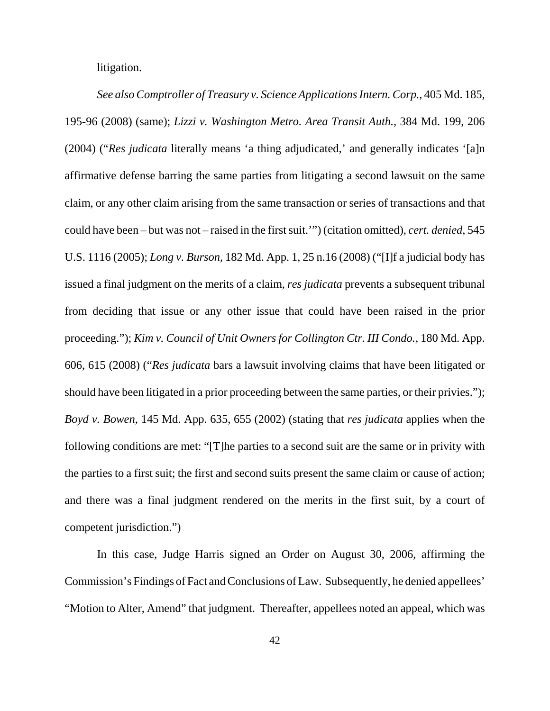litigation.

*See also Comptroller of Treasury v. Science Applications Intern. Corp.*, 405 Md. 185, 195-96 (2008) (same); *Lizzi v. Washington Metro. Area Transit Auth.*, 384 Md. 199, 206 (2004) ("*Res judicata* literally means 'a thing adjudicated,' and generally indicates '[a]n affirmative defense barring the same parties from litigating a second lawsuit on the same claim, or any other claim arising from the same transaction or series of transactions and that could have been – but was not – raised in the first suit.'") (citation omitted), *cert. denied*, 545 U.S. 1116 (2005); *Long v. Burson,* 182 Md. App. 1, 25 n.16 (2008) ("[I]f a judicial body has issued a final judgment on the merits of a claim, *res judicata* prevents a subsequent tribunal from deciding that issue or any other issue that could have been raised in the prior proceeding."); *Kim v. Council of Unit Owners for Collington Ctr. III Condo.,* 180 Md. App. 606, 615 (2008) ("*Res judicata* bars a lawsuit involving claims that have been litigated or should have been litigated in a prior proceeding between the same parties, or their privies."); *Boyd v. Bowen*, 145 Md. App. 635, 655 (2002) (stating that *res judicata* applies when the following conditions are met: "[T]he parties to a second suit are the same or in privity with the parties to a first suit; the first and second suits present the same claim or cause of action; and there was a final judgment rendered on the merits in the first suit, by a court of competent jurisdiction.")

In this case, Judge Harris signed an Order on August 30, 2006, affirming the Commission's Findings of Fact and Conclusions of Law. Subsequently, he denied appellees' "Motion to Alter, Amend" that judgment. Thereafter, appellees noted an appeal, which was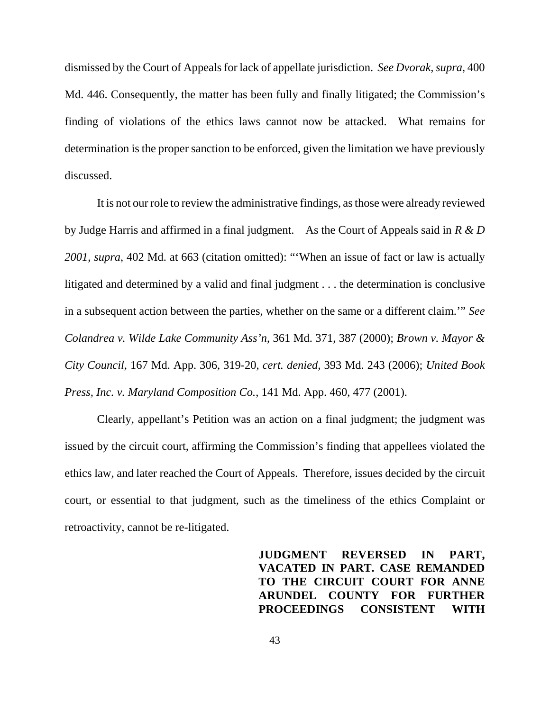dismissed by the Court of Appeals for lack of appellate jurisdiction. *See Dvorak, supra*, 400 Md. 446. Consequently, the matter has been fully and finally litigated; the Commission's finding of violations of the ethics laws cannot now be attacked. What remains for determination is the proper sanction to be enforced, given the limitation we have previously discussed.

It is not our role to review the administrative findings, as those were already reviewed by Judge Harris and affirmed in a final judgment. As the Court of Appeals said in *R & D 2001*, *supra*, 402 Md. at 663 (citation omitted): "'When an issue of fact or law is actually litigated and determined by a valid and final judgment . . . the determination is conclusive in a subsequent action between the parties, whether on the same or a different claim.'" *See Colandrea v. Wilde Lake Community Ass'n*, 361 Md. 371, 387 (2000); *Brown v. Mayor & City Council*, 167 Md. App. 306, 319-20, *cert. denied,* 393 Md. 243 (2006); *United Book Press, Inc. v. Maryland Composition Co.*, 141 Md. App. 460, 477 (2001).

Clearly, appellant's Petition was an action on a final judgment; the judgment was issued by the circuit court, affirming the Commission's finding that appellees violated the ethics law, and later reached the Court of Appeals. Therefore, issues decided by the circuit court, or essential to that judgment, such as the timeliness of the ethics Complaint or retroactivity, cannot be re-litigated.

> **JUDGMENT REVERSED IN PART, VACATED IN PART. CASE REMANDED TO THE CIRCUIT COURT FOR ANNE ARUNDEL COUNTY FOR FURTHER PROCEEDINGS CONSISTENT WITH**